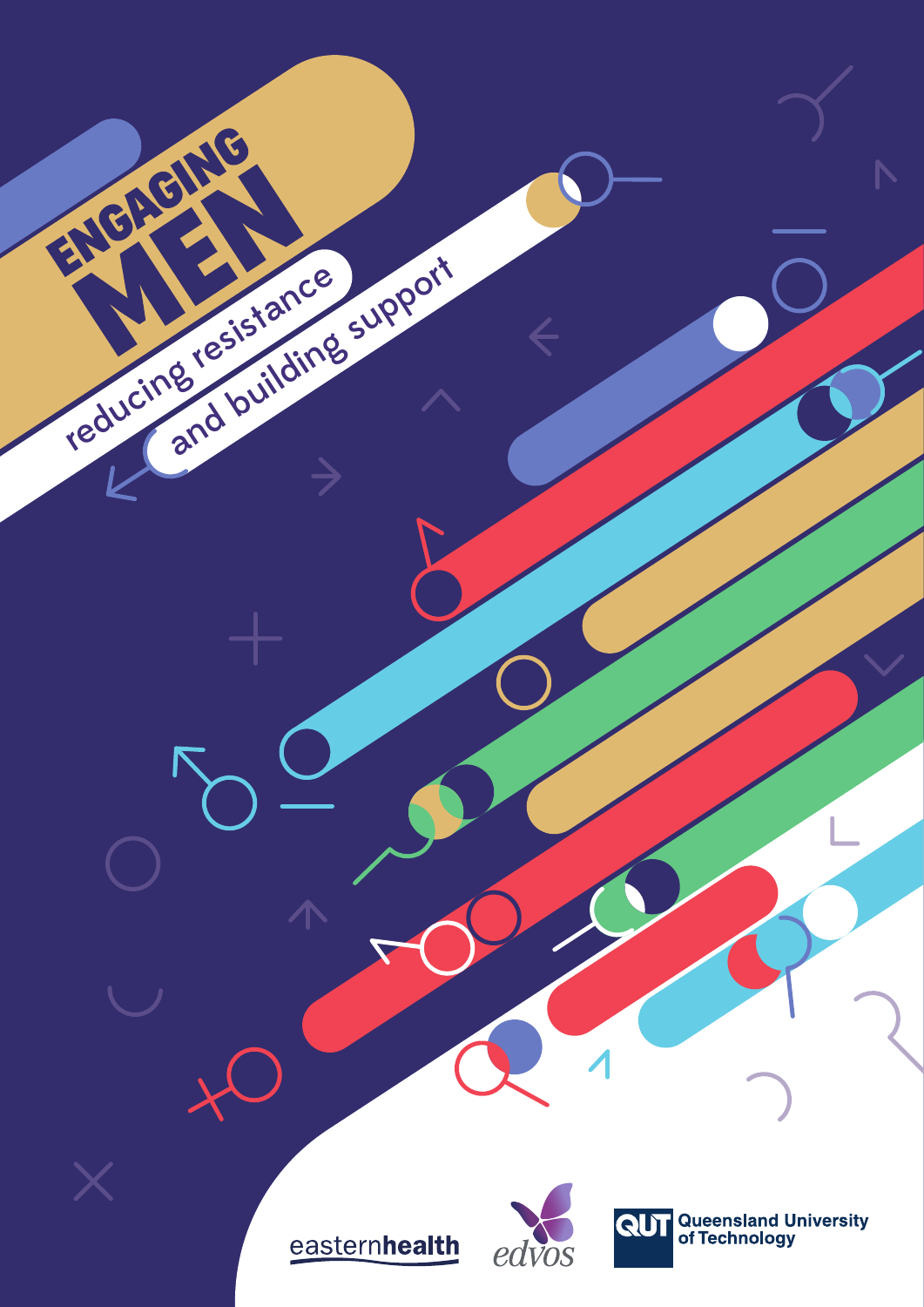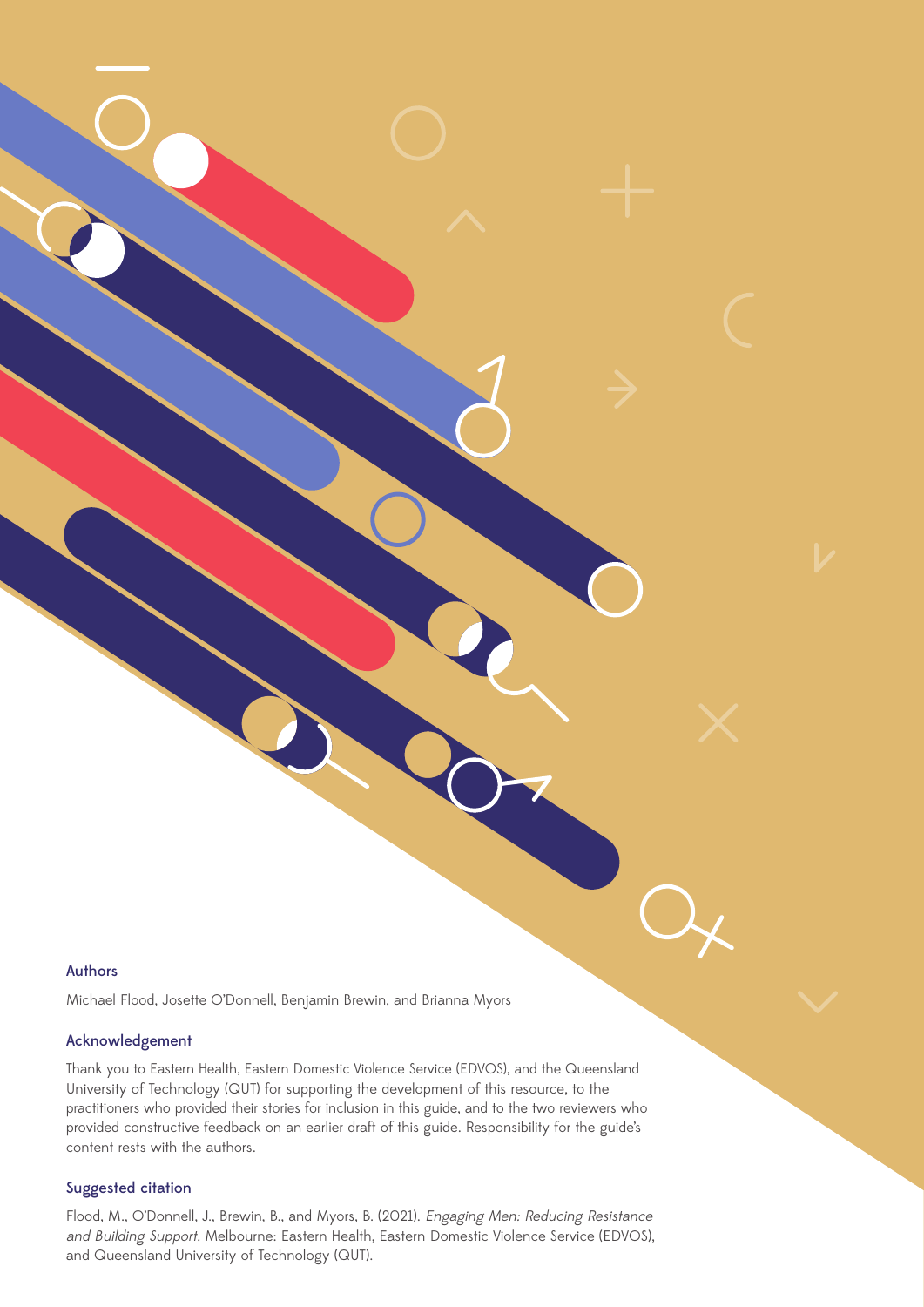#### Authors

Michael Flood, Josette O'Donnell, Benjamin Brewin, and Brianna Myors

### Acknowledgement

Thank you to Eastern Health, Eastern Domestic Violence Service (EDVOS), and the Queensland University of Technology (QUT) for supporting the development of this resource, to the practitioners who provided their stories for inclusion in this guide, and to the two reviewers who provided constructive feedback on an earlier draft of this guide. Responsibility for the guide's content rests with the authors.

#### Suggested citation

Flood, M., O'Donnell, J., Brewin, B., and Myors, B. (2021). Engaging Men: Reducing Resistance and Building Support. Melbourne: Eastern Health, Eastern Domestic Violence Service (EDVOS), and Queensland University of Technology (QUT).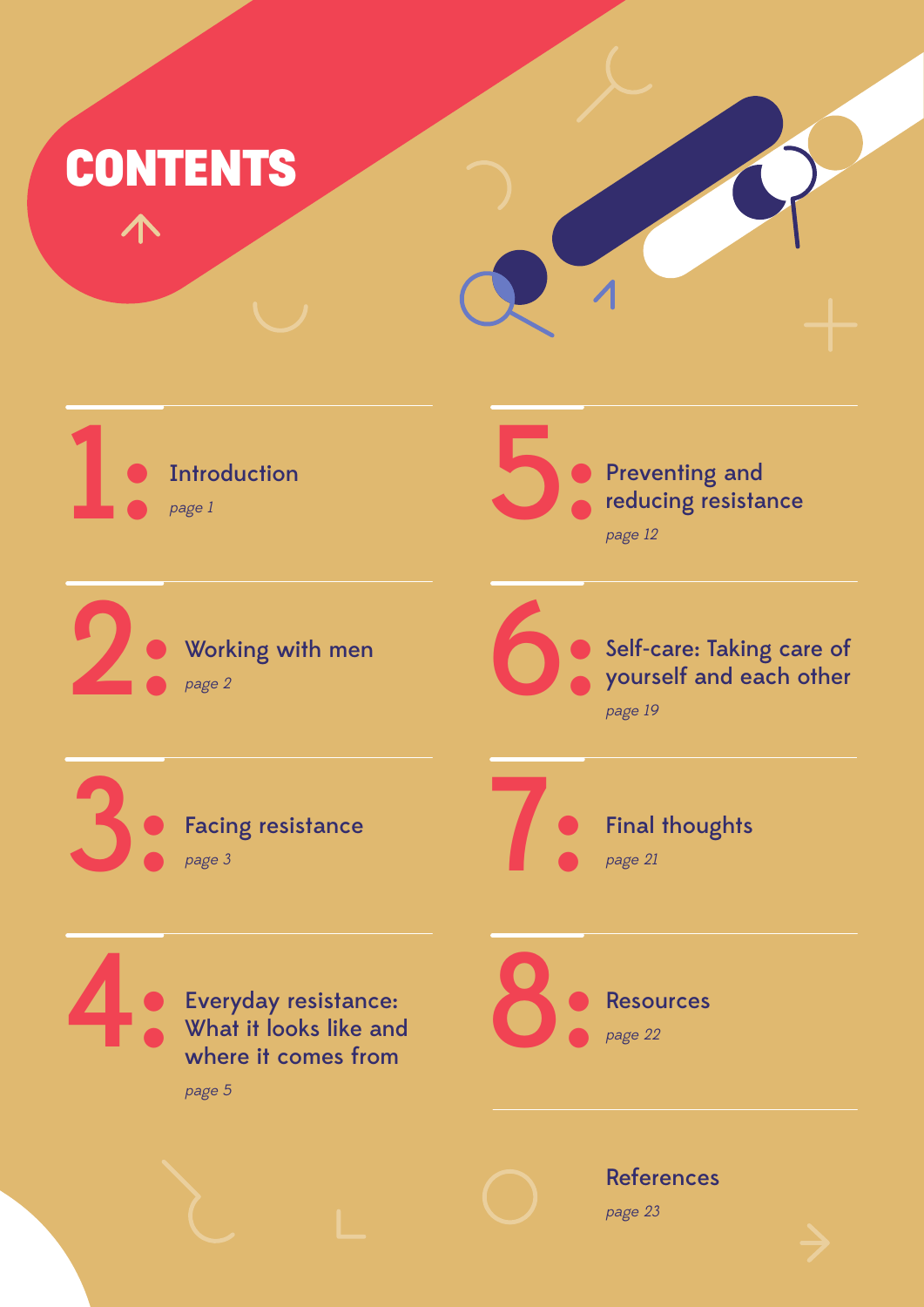



**1** Introduction **Introduction** page <sup>1</sup>

> Working with men page <sup>2</sup>

Preventing and reducing resistance page <sup>12</sup>

**2** Working with men **6** 

Self-care: Taking care of yourself and each other page 19

3 Facing resistance page 3

Facing resistance

Final thoughts page <sup>21</sup>

Everyday resistance:<br>
What it looks like and<br>
where it comes from Everyday resistance: What it looks like and where it comes from

page 5



References

page 23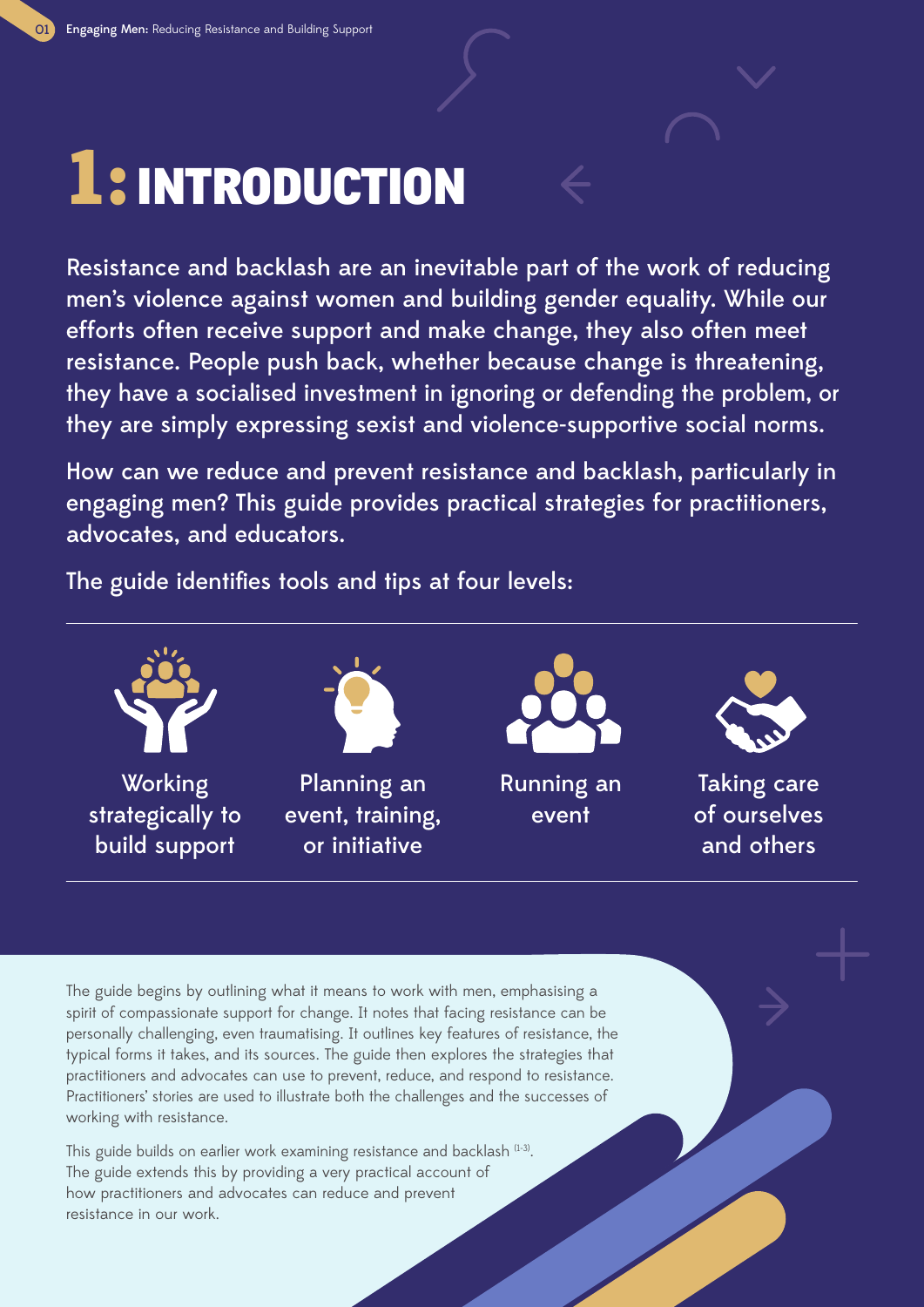## 1: INTRODUCTION

Resistance and backlash are an inevitable part of the work of reducing men's violence against women and building gender equality. While our efforts often receive support and make change, they also often meet resistance. People push back, whether because change is threatening, they have a socialised investment in ignoring or defending the problem, or they are simply expressing sexist and violence-supportive social norms.

How can we reduce and prevent resistance and backlash, particularly in engaging men? This guide provides practical strategies for practitioners, advocates, and educators.

The guide identifies tools and tips at four levels:



The guide begins by outlining what it means to work with men, emphasising a spirit of compassionate support for change. It notes that facing resistance can be personally challenging, even traumatising. It outlines key features of resistance, the typical forms it takes, and its sources. The guide then explores the strategies that practitioners and advocates can use to prevent, reduce, and respond to resistance. Practitioners' stories are used to illustrate both the challenges and the successes of working with resistance.

This guide builds on earlier work examining resistance and backlash (1-3). The guide extends this by providing a very practical account of how practitioners and advocates can reduce and prevent resistance in our work.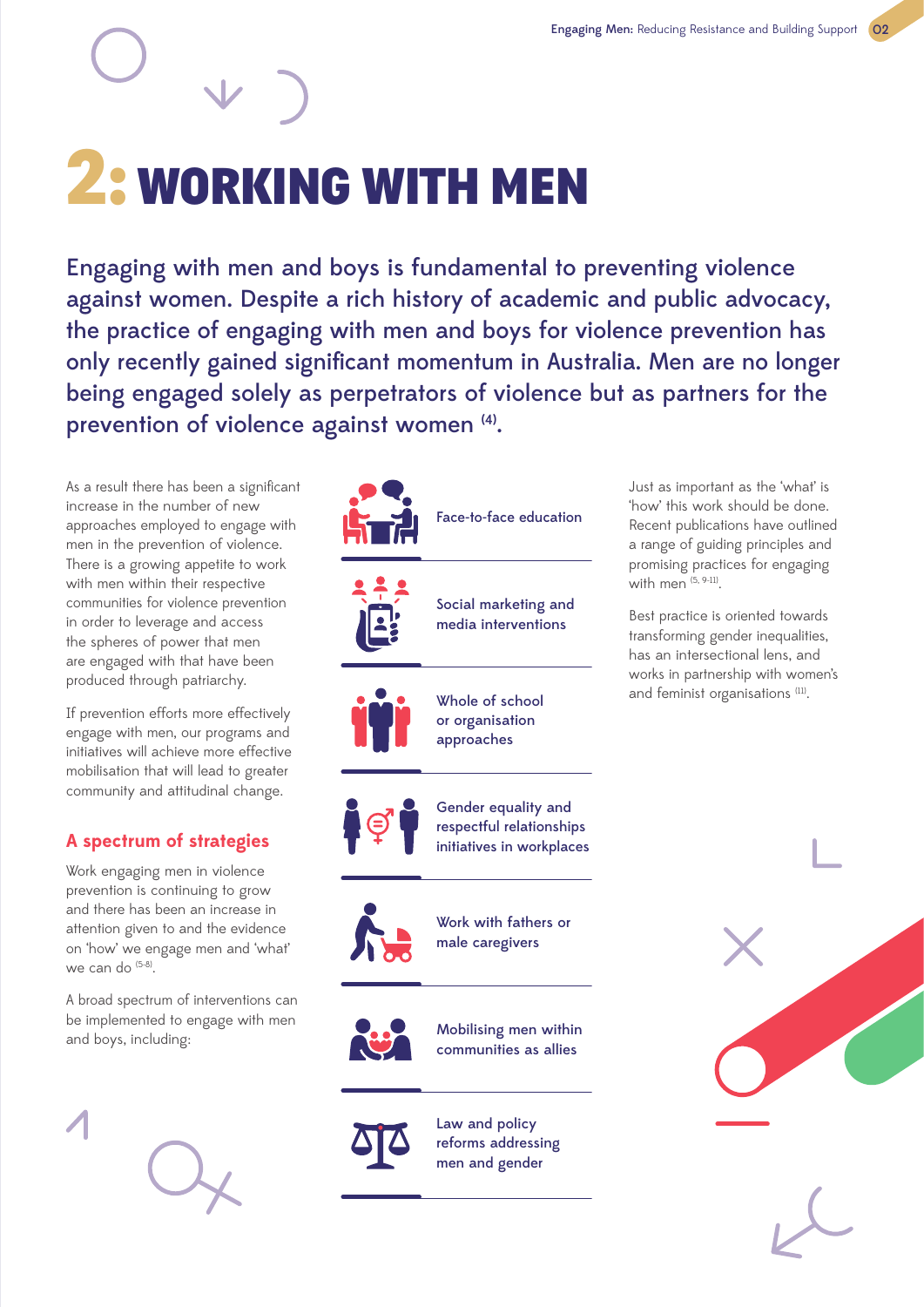# 2: WORKING WITH MEN

Engaging with men and boys is fundamental to preventing violence against women. Despite a rich history of academic and public advocacy, the practice of engaging with men and boys for violence prevention has only recently gained significant momentum in Australia. Men are no longer being engaged solely as perpetrators of violence but as partners for the prevention of violence against women (4).

As a result there has been a significant increase in the number of new approaches employed to engage with men in the prevention of violence. There is a growing appetite to work with men within their respective communities for violence prevention in order to leverage and access the spheres of power that men are engaged with that have been produced through patriarchy.

If prevention efforts more effectively engage with men, our programs and initiatives will achieve more effective mobilisation that will lead to greater community and attitudinal change.

## **A spectrum of strategies**

Work engaging men in violence prevention is continuing to grow and there has been an increase in attention given to and the evidence on 'how' we engage men and 'what' we can do <sup>(5-8)</sup>.

A broad spectrum of interventions can be implemented to engage with men and boys, including:





men and gender

Just as important as the 'what' is 'how' this work should be done. Recent publications have outlined a range of guiding principles and promising practices for engaging with men (5, 9-11).

Best practice is oriented towards transforming gender inequalities, has an intersectional lens, and works in partnership with women's and feminist organisations (11).

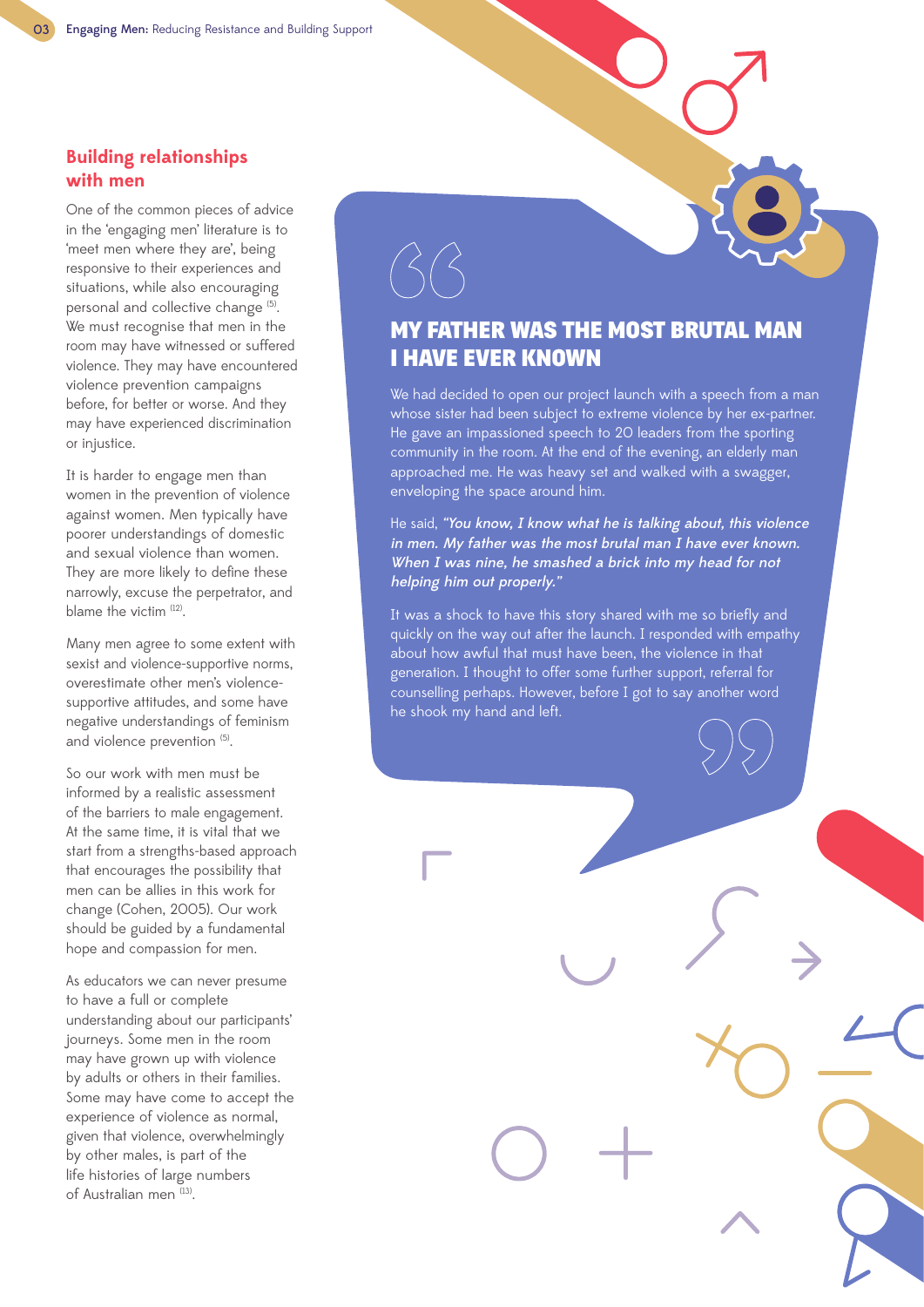## **Building relationships with men**

One of the common pieces of advice in the 'engaging men' literature is to 'meet men where they are', being responsive to their experiences and situations, while also encouraging personal and collective change (5). We must recognise that men in the room may have witnessed or suffered violence. They may have encountered violence prevention campaigns before, for better or worse. And they may have experienced discrimination or injustice.

It is harder to engage men than women in the prevention of violence against women. Men typically have poorer understandings of domestic and sexual violence than women. They are more likely to define these narrowly, excuse the perpetrator, and blame the victim (12).

Many men agree to some extent with sexist and violence-supportive norms, overestimate other men's violencesupportive attitudes, and some have negative understandings of feminism and violence prevention (5).

So our work with men must be informed by a realistic assessment of the barriers to male engagement. At the same time, it is vital that we start from a strengths-based approach that encourages the possibility that men can be allies in this work for change (Cohen, 2005). Our work should be guided by a fundamental hope and compassion for men.

As educators we can never presume to have a full or complete understanding about our participants' journeys. Some men in the room may have grown up with violence by adults or others in their families. Some may have come to accept the experience of violence as normal, given that violence, overwhelmingly by other males, is part of the life histories of large numbers of Australian men<sup>(13)</sup>.

## MY FATHER WAS THE MOST BRUTAL MAN I HAVE EVER KNOWN

We had decided to open our project launch with a speech from a man whose sister had been subject to extreme violence by her ex-partner. He gave an impassioned speech to 20 leaders from the sporting community in the room. At the end of the evening, an elderly man approached me. He was heavy set and walked with a swagger, enveloping the space around him.

He said, "You know, I know what he is talking about, this violence in men. My father was the most brutal man I have ever known. When I was nine, he smashed a brick into my head for not helping him out properly."

It was a shock to have this story shared with me so briefly and quickly on the way out after the launch. I responded with empathy about how awful that must have been, the violence in that generation. I thought to offer some further support, referral for counselling perhaps. However, before I got to say another word he shook my hand and left.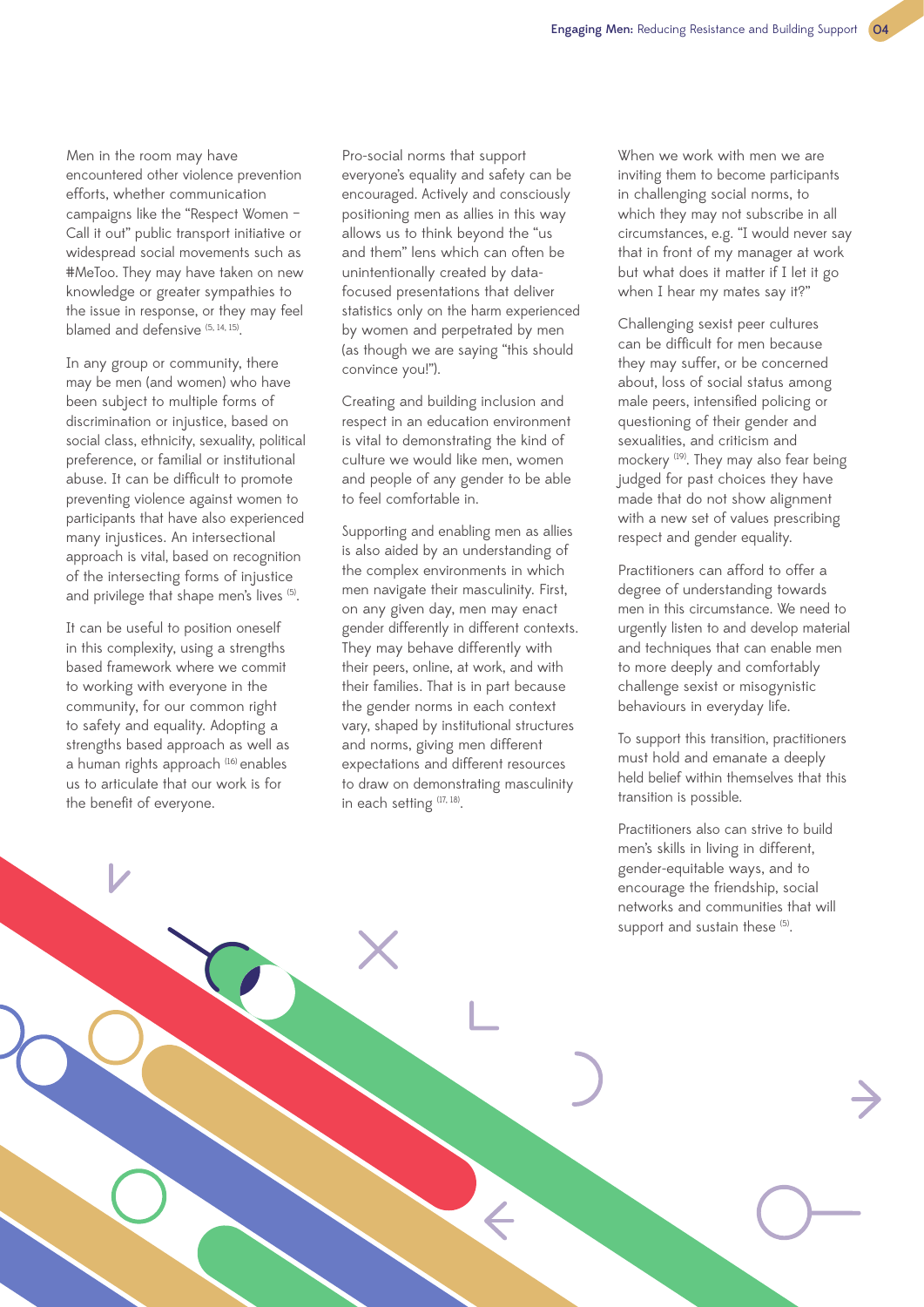Men in the room may have encountered other violence prevention efforts, whether communication campaigns like the "Respect Women – Call it out" public transport initiative or widespread social movements such as #MeToo. They may have taken on new knowledge or greater sympathies to the issue in response, or they may feel blamed and defensive (5, 14, 15).

In any group or community, there may be men (and women) who have been subject to multiple forms of discrimination or injustice, based on social class, ethnicity, sexuality, political preference, or familial or institutional abuse. It can be difficult to promote preventing violence against women to participants that have also experienced many injustices. An intersectional approach is vital, based on recognition of the intersecting forms of injustice and privilege that shape men's lives (5).

It can be useful to position oneself in this complexity, using a strengths based framework where we commit to working with everyone in the community, for our common right to safety and equality. Adopting a strengths based approach as well as a human rights approach (16) enables us to articulate that our work is for the benefit of everyone.

Pro-social norms that support everyone's equality and safety can be encouraged. Actively and consciously positioning men as allies in this way allows us to think beyond the "us and them" lens which can often be unintentionally created by datafocused presentations that deliver statistics only on the harm experienced by women and perpetrated by men (as though we are saying "this should convince you!").

Creating and building inclusion and respect in an education environment is vital to demonstrating the kind of culture we would like men, women and people of any gender to be able to feel comfortable in.

Supporting and enabling men as allies is also aided by an understanding of the complex environments in which men navigate their masculinity. First, on any given day, men may enact gender differently in different contexts. They may behave differently with their peers, online, at work, and with their families. That is in part because the gender norms in each context vary, shaped by institutional structures and norms, giving men different expectations and different resources to draw on demonstrating masculinity in each setting  $(17, 18)$ .

When we work with men we are inviting them to become participants in challenging social norms, to which they may not subscribe in all circumstances, e.g. "I would never say that in front of my manager at work but what does it matter if I let it go when I hear my mates say it?"

Challenging sexist peer cultures can be difficult for men because they may suffer, or be concerned about, loss of social status among male peers, intensified policing or questioning of their gender and sexualities, and criticism and mockery <sup>(19)</sup>. They may also fear being judged for past choices they have made that do not show alignment with a new set of values prescribing respect and gender equality.

Practitioners can afford to offer a degree of understanding towards men in this circumstance. We need to urgently listen to and develop material and techniques that can enable men to more deeply and comfortably challenge sexist or misogynistic behaviours in everyday life.

To support this transition, practitioners must hold and emanate a deeply held belief within themselves that this transition is possible.

Practitioners also can strive to build men's skills in living in different, gender-equitable ways, and to encourage the friendship, social networks and communities that will support and sustain these (5).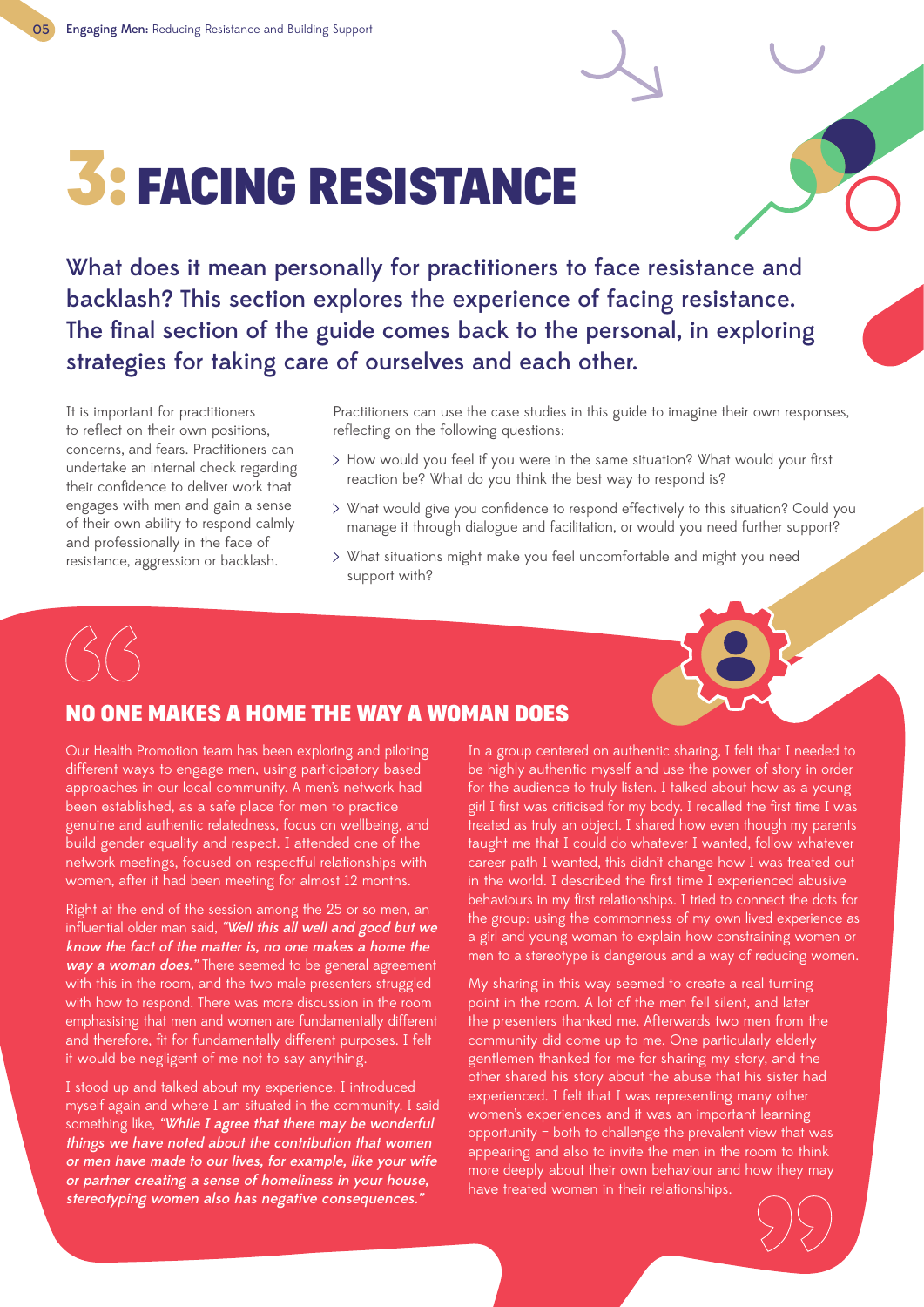## 3: FACING RESISTANCE

What does it mean personally for practitioners to face resistance and backlash? This section explores the experience of facing resistance. The final section of the guide comes back to the personal, in exploring strategies for taking care of ourselves and each other.

It is important for practitioners to reflect on their own positions, concerns, and fears. Practitioners can undertake an internal check regarding their confidence to deliver work that engages with men and gain a sense of their own ability to respond calmly and professionally in the face of resistance, aggression or backlash.

Practitioners can use the case studies in this guide to imagine their own responses, reflecting on the following questions:

- How would you feel if you were in the same situation? What would your first reaction be? What do you think the best way to respond is?
- What would give you confidence to respond effectively to this situation? Could you manage it through dialogue and facilitation, or would you need further support?
- What situations might make you feel uncomfortable and might you need support with?



## NO ONE MAKES A HOME THE WAY A WOMAN DOES

Our Health Promotion team has been exploring and piloting different ways to engage men, using participatory based approaches in our local community. A men's network had been established, as a safe place for men to practice genuine and authentic relatedness, focus on wellbeing, and build gender equality and respect. I attended one of the network meetings, focused on respectful relationships with women, after it had been meeting for almost 12 months.

Right at the end of the session among the 25 or so men, an influential older man said, "Well this all well and good but we know the fact of the matter is, no one makes a home the way a woman does." There seemed to be general agreement with this in the room, and the two male presenters struggled with how to respond. There was more discussion in the room emphasising that men and women are fundamentally different and therefore, fit for fundamentally different purposes. I felt it would be negligent of me not to say anything.

I stood up and talked about my experience. I introduced myself again and where I am situated in the community. I said something like, "While I agree that there may be wonderful things we have noted about the contribution that women or men have made to our lives, for example, like your wife or partner creating a sense of homeliness in your house, stereotyping women also has negative consequences."

In a group centered on authentic sharing, I felt that I needed to be highly authentic myself and use the power of story in order for the audience to truly listen. I talked about how as a young girl I first was criticised for my body. I recalled the first time I was treated as truly an object. I shared how even though my parents taught me that I could do whatever I wanted, follow whatever career path I wanted, this didn't change how I was treated out in the world. I described the first time I experienced abusive behaviours in my first relationships. I tried to connect the dots for the group: using the commonness of my own lived experience as a girl and young woman to explain how constraining women or men to a stereotype is dangerous and a way of reducing women.

My sharing in this way seemed to create a real turning point in the room. A lot of the men fell silent, and later the presenters thanked me. Afterwards two men from the community did come up to me. One particularly elderly gentlemen thanked for me for sharing my story, and the other shared his story about the abuse that his sister had experienced. I felt that I was representing many other women's experiences and it was an important learning opportunity – both to challenge the prevalent view that was appearing and also to invite the men in the room to think more deeply about their own behaviour and how they may have treated women in their relationships.

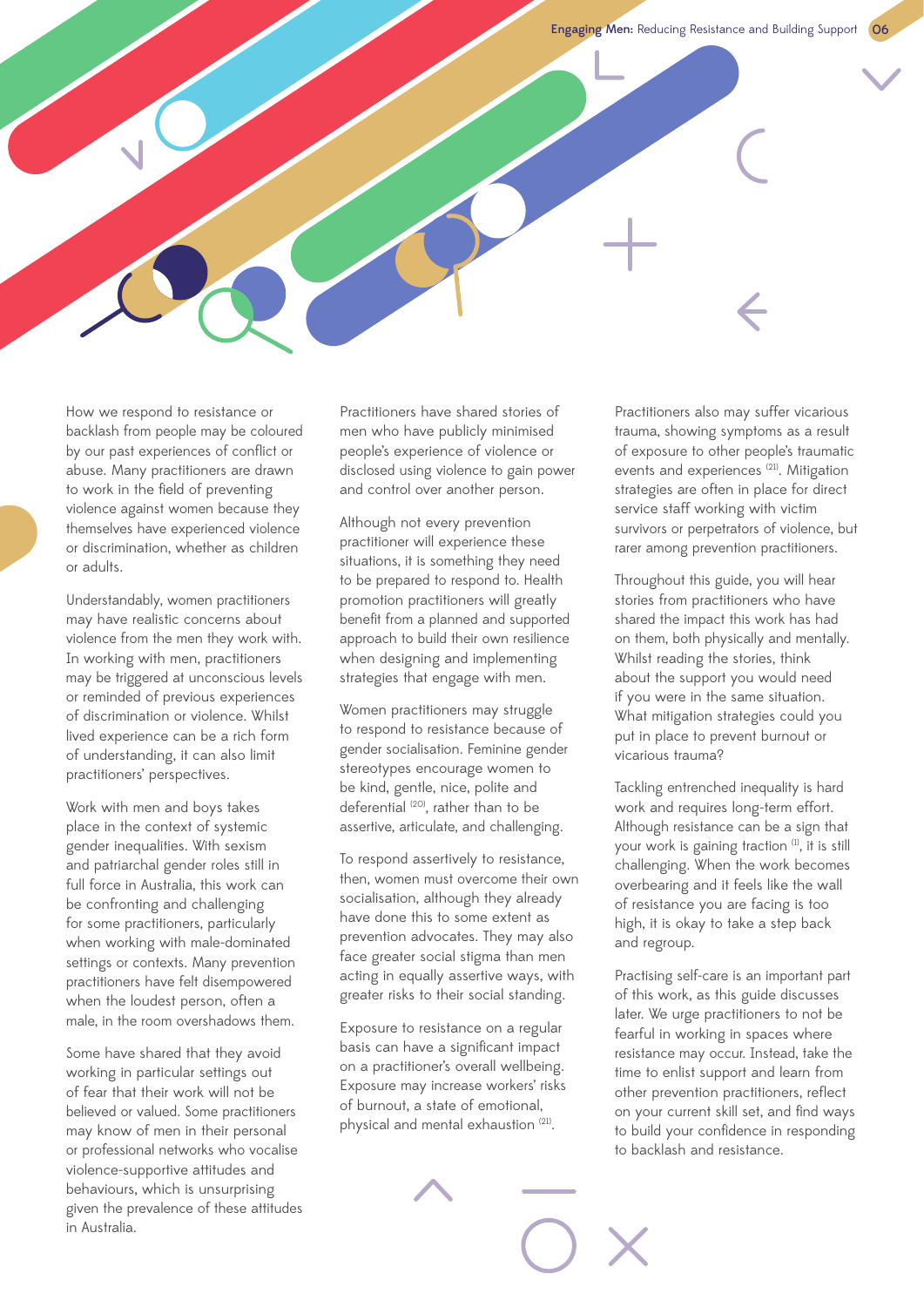How we respond to resistance or backlash from people may be coloured by our past experiences of conflict or abuse. Many practitioners are drawn to work in the field of preventing violence against women because they themselves have experienced violence or discrimination, whether as children or adults.

Understandably, women practitioners may have realistic concerns about violence from the men they work with. In working with men, practitioners may be triggered at unconscious levels or reminded of previous experiences of discrimination or violence. Whilst lived experience can be a rich form of understanding, it can also limit practitioners' perspectives.

Work with men and boys takes place in the context of systemic gender inequalities. With sexism and patriarchal gender roles still in full force in Australia, this work can be confronting and challenging for some practitioners, particularly when working with male-dominated settings or contexts. Many prevention practitioners have felt disempowered when the loudest person, often a male, in the room overshadows them.

Some have shared that they avoid working in particular settings out of fear that their work will not be believed or valued. Some practitioners may know of men in their personal or professional networks who vocalise violence-supportive attitudes and behaviours, which is unsurprising given the prevalence of these attitudes in Australia.

Practitioners have shared stories of men who have publicly minimised people's experience of violence or disclosed using violence to gain power and control over another person.

Although not every prevention practitioner will experience these situations, it is something they need to be prepared to respond to. Health promotion practitioners will greatly benefit from a planned and supported approach to build their own resilience when designing and implementing strategies that engage with men.

Women practitioners may struggle to respond to resistance because of gender socialisation. Feminine gender stereotypes encourage women to be kind, gentle, nice, polite and deferential (20), rather than to be assertive, articulate, and challenging.

To respond assertively to resistance, then, women must overcome their own socialisation, although they already have done this to some extent as prevention advocates. They may also face greater social stigma than men acting in equally assertive ways, with greater risks to their social standing.

Exposure to resistance on a regular basis can have a significant impact on a practitioner's overall wellbeing. Exposure may increase workers' risks of burnout, a state of emotional, physical and mental exhaustion (21).

Practitioners also may suffer vicarious trauma, showing symptoms as a result of exposure to other people's traumatic events and experiences<sup>(21)</sup>. Mitigation strategies are often in place for direct service staff working with victim survivors or perpetrators of violence, but rarer among prevention practitioners.

Throughout this guide, you will hear stories from practitioners who have shared the impact this work has had on them, both physically and mentally. Whilst reading the stories, think about the support you would need if you were in the same situation. What mitigation strategies could you put in place to prevent burnout or vicarious trauma?

Tackling entrenched inequality is hard work and requires long-term effort. Although resistance can be a sign that your work is gaining traction<sup>(1)</sup>, it is still challenging. When the work becomes overbearing and it feels like the wall of resistance you are facing is too high, it is okay to take a step back and regroup.

Practising self-care is an important part of this work, as this guide discusses later. We urge practitioners to not be fearful in working in spaces where resistance may occur. Instead, take the time to enlist support and learn from other prevention practitioners, reflect on your current skill set, and find ways to build your confidence in responding to backlash and resistance.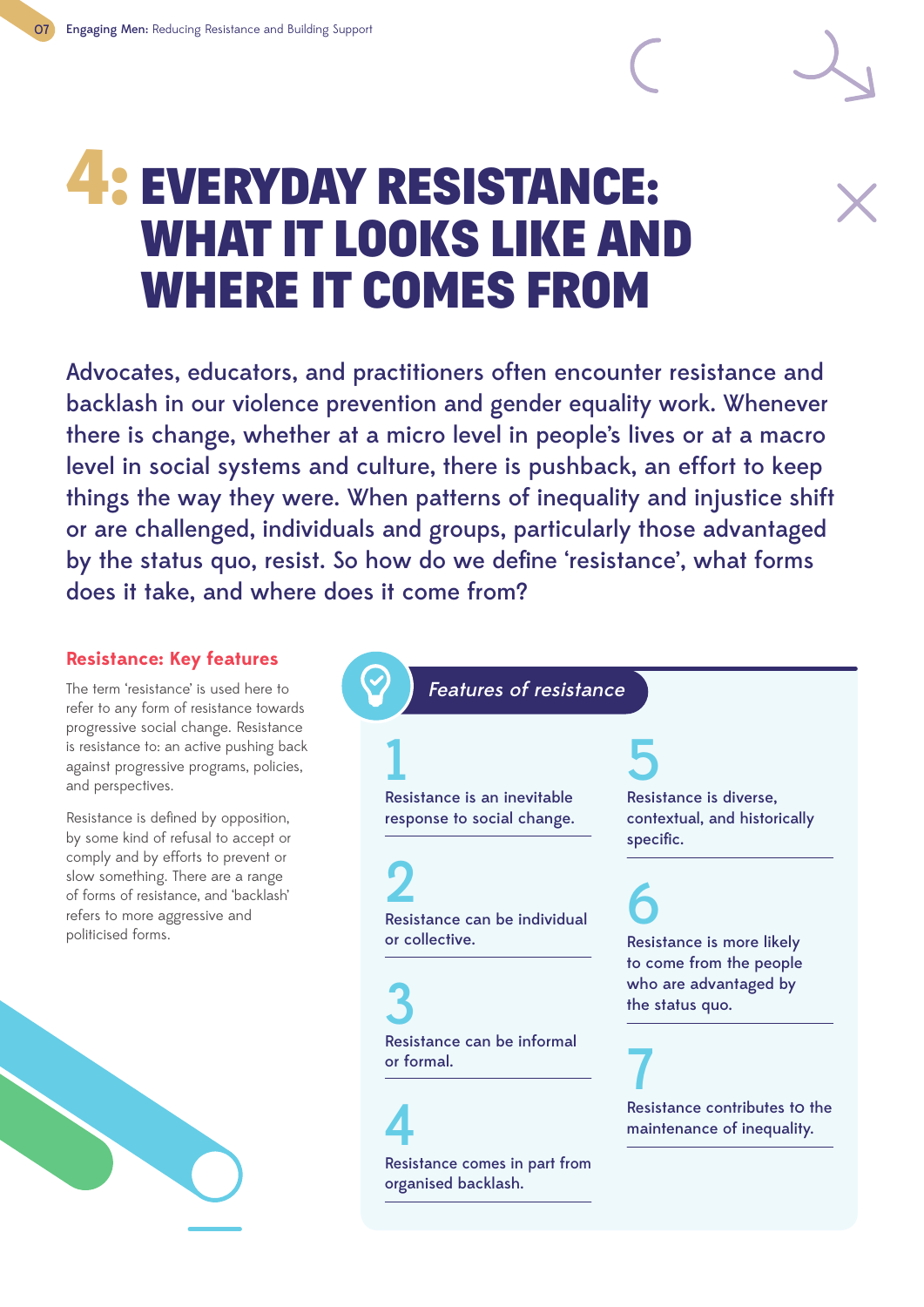## 4: EVERYDAY RESISTANCE: WHAT IT LOOKS LIKE AND WHERE IT COMES FROM

Advocates, educators, and practitioners often encounter resistance and backlash in our violence prevention and gender equality work. Whenever there is change, whether at a micro level in people's lives or at a macro level in social systems and culture, there is pushback, an effort to keep things the way they were. When patterns of inequality and injustice shift or are challenged, individuals and groups, particularly those advantaged by the status quo, resist. So how do we define 'resistance', what forms does it take, and where does it come from?

## **Resistance: Key features**

The term 'resistance' is used here to refer to any form of resistance towards progressive social change. Resistance is resistance to: an active pushing back against progressive programs, policies, and perspectives.

Resistance is defined by opposition, by some kind of refusal to accept or comply and by efforts to prevent or slow something. There are a range of forms of resistance, and 'backlash' refers to more aggressive and politicised forms.



Features of resistance

## 1 Resistance is an inevitable

response to social change.

## 2

Resistance can be individual or collective.

3 Resistance can be informal or formal.

4 Resistance comes in part from organised backlash.

## 5

Resistance is diverse, contextual, and historically specific.

## 6 Resistance is more likely to come from the people who are advantaged by the status quo.

7 Resistance contributes to the maintenance of inequality.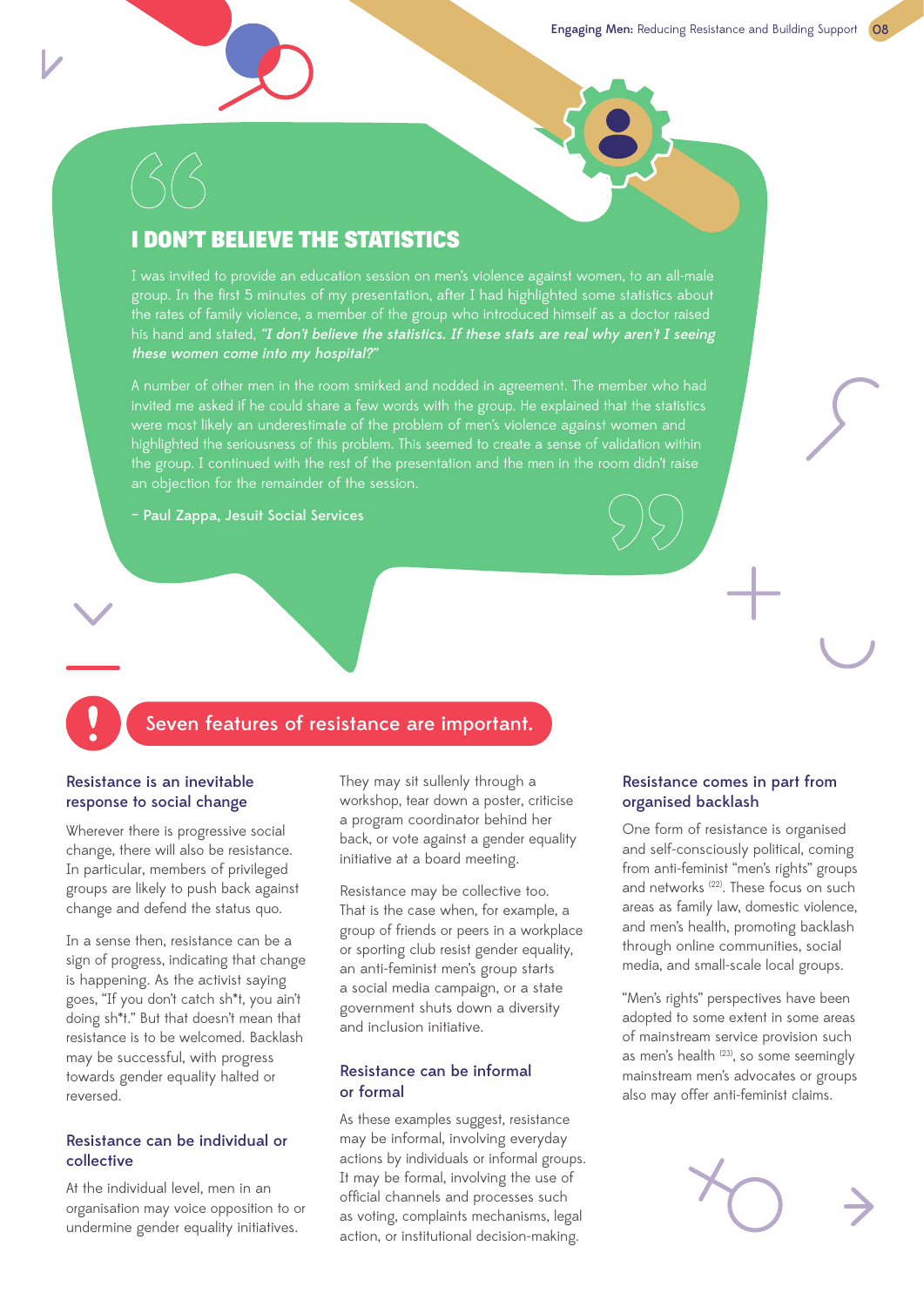## I DON'T BELIEVE THE STATISTICS

I was invited to provide an education session on men's violence against women, to an all-male group. In the first 5 minutes of my presentation, after I had highlighted some statistics about the rates of family violence, a member of the group who introduced himself as a doctor raised his hand and stated, "I don't believe the statistics. If these stats are real why aren't I seeing these women come into my hospital?"

A number of other men in the room smirked and nodded in agreement. The member who had invited me asked if he could share a few words with the group. He explained that the statistics were most likely an underestimate of the problem of men's violence against women and highlighted the seriousness of this problem. This seemed to create a sense of validation within the group. I continued with the rest of the presentation and the men in the room didn't raise an objection for the remainder of the session.

– Paul Zappa, Jesuit Social Services

## Seven features of resistance are important.

### Resistance is an inevitable response to social change

Wherever there is progressive social change, there will also be resistance. In particular, members of privileged groups are likely to push back against change and defend the status quo.

In a sense then, resistance can be a sign of progress, indicating that change is happening. As the activist saying goes, "If you don't catch sh\*t, you ain't doing sh\*t." But that doesn't mean that resistance is to be welcomed. Backlash may be successful, with progress towards gender equality halted or reversed.

### Resistance can be individual or collective

At the individual level, men in an organisation may voice opposition to or undermine gender equality initiatives.

They may sit sullenly through a workshop, tear down a poster, criticise a program coordinator behind her back, or vote against a gender equality initiative at a board meeting.

Resistance may be collective too. That is the case when, for example, a group of friends or peers in a workplace or sporting club resist gender equality, an anti-feminist men's group starts a social media campaign, or a state government shuts down a diversity and inclusion initiative.

#### Resistance can be informal or formal

As these examples suggest, resistance may be informal, involving everyday actions by individuals or informal groups. It may be formal, involving the use of official channels and processes such as voting, complaints mechanisms, legal action, or institutional decision-making.

### Resistance comes in part from organised backlash

One form of resistance is organised and self-consciously political, coming from anti-feminist "men's rights" groups and networks (22). These focus on such areas as family law, domestic violence, and men's health, promoting backlash through online communities, social media, and small-scale local groups.

"Men's rights" perspectives have been adopted to some extent in some areas of mainstream service provision such as men's health <sup>(23)</sup>, so some seemingly mainstream men's advocates or groups also may offer anti-feminist claims.

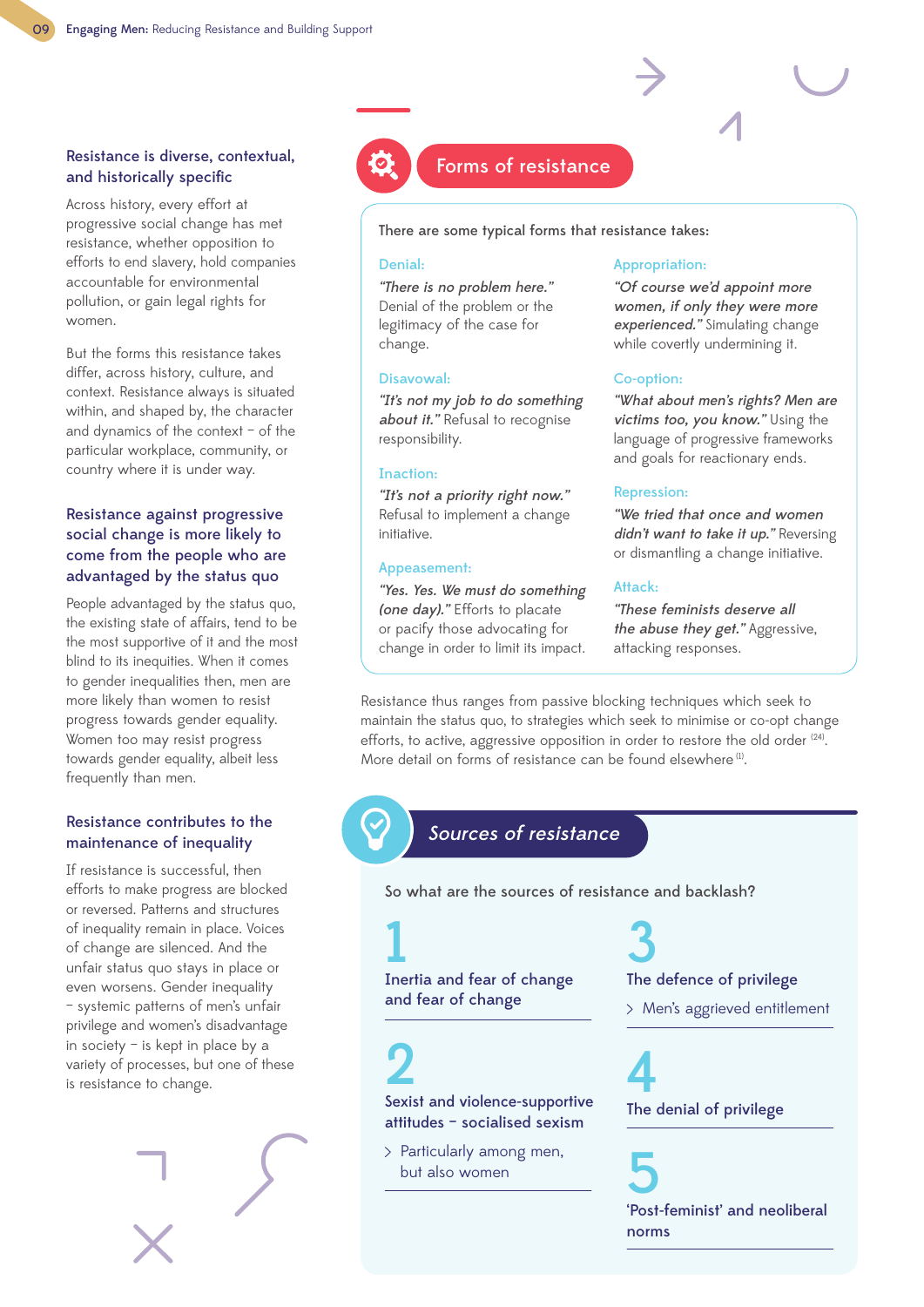### Resistance is diverse, contextual, and historically specific

Across history, every effort at progressive social change has met resistance, whether opposition to efforts to end slavery, hold companies accountable for environmental pollution, or gain legal rights for women.

But the forms this resistance takes differ, across history, culture, and context. Resistance always is situated within, and shaped by, the character and dynamics of the context – of the particular workplace, community, or country where it is under way.

### Resistance against progressive social change is more likely to come from the people who are advantaged by the status quo

People advantaged by the status quo, the existing state of affairs, tend to be the most supportive of it and the most blind to its inequities. When it comes to gender inequalities then, men are more likely than women to resist progress towards gender equality. Women too may resist progress towards gender equality, albeit less frequently than men.

### Resistance contributes to the maintenance of inequality

If resistance is successful, then efforts to make progress are blocked or reversed. Patterns and structures of inequality remain in place. Voices of change are silenced. And the unfair status quo stays in place or even worsens. Gender inequality – systemic patterns of men's unfair privilege and women's disadvantage in society – is kept in place by a variety of processes, but one of these is resistance to change.





## Forms of resistance

There are some typical forms that resistance takes:

#### Denial:

"There is no problem here." Denial of the problem or the legitimacy of the case for change.

#### Disavowal:

"It's not my job to do something about it." Refusal to recognise responsibility.

#### Inaction:

"It's not a priority right now." Refusal to implement a change initiative.

#### Appeasement:

"Yes. Yes. We must do something (one day)." Efforts to placate or pacify those advocating for change in order to limit its impact.

#### Appropriation:

"Of course we'd appoint more women, if only they were more experienced." Simulating change while covertly undermining it.

#### Co-option:

"What about men's rights? Men are victims too, you know." Using the language of progressive frameworks and goals for reactionary ends.

### Repression:

"We tried that once and women didn't want to take it up." Reversing or dismantling a change initiative.

#### Attack:

"These feminists deserve all the abuse they get." Aggressive, attacking responses.

Resistance thus ranges from passive blocking techniques which seek to maintain the status quo, to strategies which seek to minimise or co-opt change efforts, to active, aggressive opposition in order to restore the old order <sup>(24)</sup>. More detail on forms of resistance can be found elsewhere<sup>(1)</sup>

## Sources of resistance

So what are the sources of resistance and backlash?

## 1 Inertia and fear of change

and fear of change

2

Sexist and violence-supportive attitudes – socialised sexism

> Particularly among men, but also women

## 3 The defence of privilege

Men's aggrieved entitlement

4 The denial of privilege

5 'Post-feminist' and neoliberal norms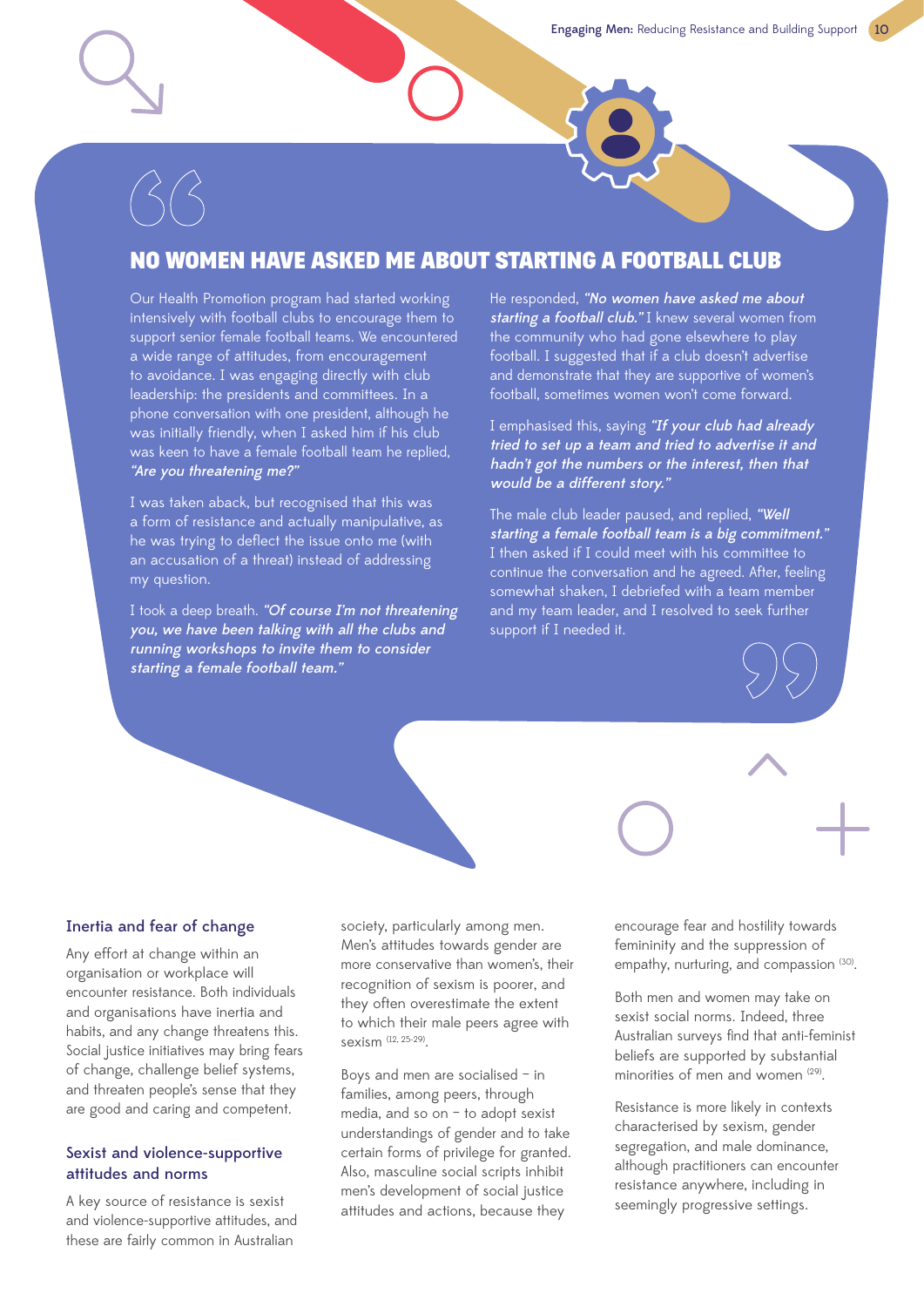## NO WOMEN HAVE ASKED ME ABOUT STARTING A FOOTBALL CLUB

Our Health Promotion program had started working intensively with football clubs to encourage them to support senior female football teams. We encountered a wide range of attitudes, from encouragement to avoidance. I was engaging directly with club leadership: the presidents and committees. In a phone conversation with one president, although he was initially friendly, when I asked him if his club was keen to have a female football team he replied, "Are you threatening me?"

I was taken aback, but recognised that this was a form of resistance and actually manipulative, as he was trying to deflect the issue onto me (with an accusation of a threat) instead of addressing my question.

I took a deep breath. "Of course I'm not threatening you, we have been talking with all the clubs and running workshops to invite them to consider starting a female football team."

He responded, "No women have asked me about starting a football club." I knew several women from the community who had gone elsewhere to play football. I suggested that if a club doesn't advertise and demonstrate that they are supportive of women's football, sometimes women won't come forward.

I emphasised this, saying "If your club had already tried to set up a team and tried to advertise it and hadn't got the numbers or the interest, then that would be a different story."

The male club leader paused, and replied, "Well starting a female football team is a big commitment." I then asked if I could meet with his committee to continue the conversation and he agreed. After, feeling somewhat shaken, I debriefed with a team member and my team leader, and I resolved to seek further support if I needed it.

### Inertia and fear of change

Any effort at change within an organisation or workplace will encounter resistance. Both individuals and organisations have inertia and habits, and any change threatens this. Social justice initiatives may bring fears of change, challenge belief systems, and threaten people's sense that they are good and caring and competent.

### Sexist and violence-supportive attitudes and norms

A key source of resistance is sexist and violence-supportive attitudes, and these are fairly common in Australian

society, particularly among men. Men's attitudes towards gender are more conservative than women's, their recognition of sexism is poorer, and they often overestimate the extent to which their male peers agree with sexism (12, 25-29).

Boys and men are socialised – in families, among peers, through media, and so on – to adopt sexist understandings of gender and to take certain forms of privilege for granted. Also, masculine social scripts inhibit men's development of social justice attitudes and actions, because they

encourage fear and hostility towards femininity and the suppression of empathy, nurturing, and compassion (30).

Both men and women may take on sexist social norms. Indeed, three Australian surveys find that anti-feminist beliefs are supported by substantial minorities of men and women <sup>(29)</sup>.

Resistance is more likely in contexts characterised by sexism, gender segregation, and male dominance, although practitioners can encounter resistance anywhere, including in seemingly progressive settings.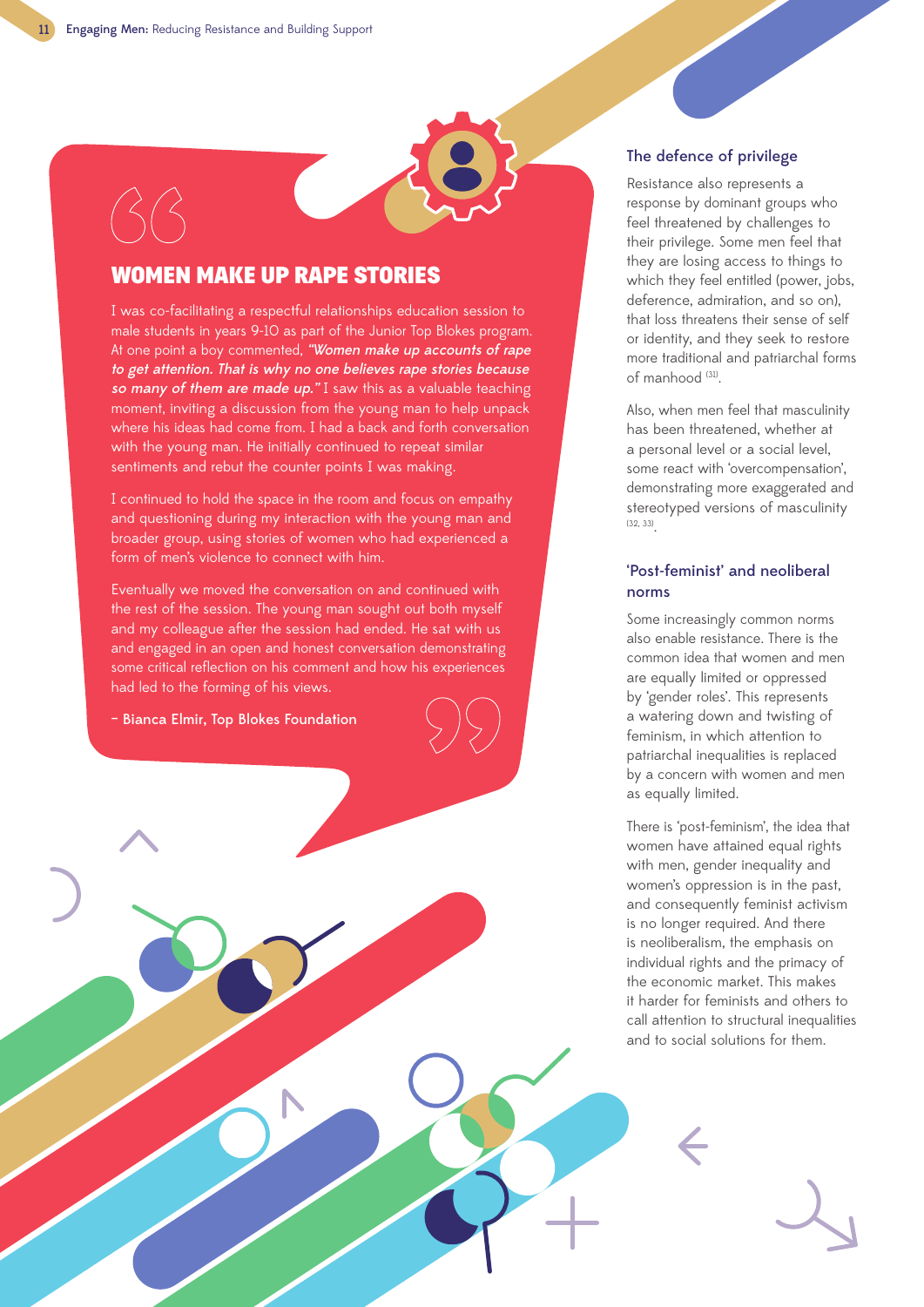## WOMEN MAKE UP RAPE STORIES

I was co-facilitating a respectful relationships education session to male students in years 9-10 as part of the Junior Top Blokes program. At one point a boy commented, "Women make up accounts of rape to get attention. That is why no one believes rape stories because so many of them are made up." I saw this as a valuable teaching moment, inviting a discussion from the young man to help unpack where his ideas had come from. I had a back and forth conversation with the young man. He initially continued to repeat similar sentiments and rebut the counter points I was making.

I continued to hold the space in the room and focus on empathy and questioning during my interaction with the young man and broader group, using stories of women who had experienced a form of men's violence to connect with him.

Eventually we moved the conversation on and continued with the rest of the session. The young man sought out both myself and my colleague after the session had ended. He sat with us and engaged in an open and honest conversation demonstrating some critical reflection on his comment and how his experiences had led to the forming of his views.

– Bianca Elmir, Top Blokes Foundation

#### The defence of privilege

Resistance also represents a response by dominant groups who feel threatened by challenges to their privilege. Some men feel that they are losing access to things to which they feel entitled (power, jobs, deference, admiration, and so on), that loss threatens their sense of self or identity, and they seek to restore more traditional and patriarchal forms of manhood (31).

Also, when men feel that masculinity has been threatened, whether at a personal level or a social level, some react with 'overcompensation', demonstrating more exaggerated and stereotyped versions of masculinity  $(32, 33)$ 

### 'Post-feminist' and neoliberal norms

Some increasingly common norms also enable resistance. There is the common idea that women and men are equally limited or oppressed by 'gender roles'. This represents a watering down and twisting of feminism, in which attention to patriarchal inequalities is replaced by a concern with women and men as equally limited.

There is 'post-feminism', the idea that women have attained equal rights with men, gender inequality and women's oppression is in the past, and consequently feminist activism is no longer required. And there is neoliberalism, the emphasis on individual rights and the primacy of the economic market. This makes it harder for feminists and others to call attention to structural inequalities and to social solutions for them.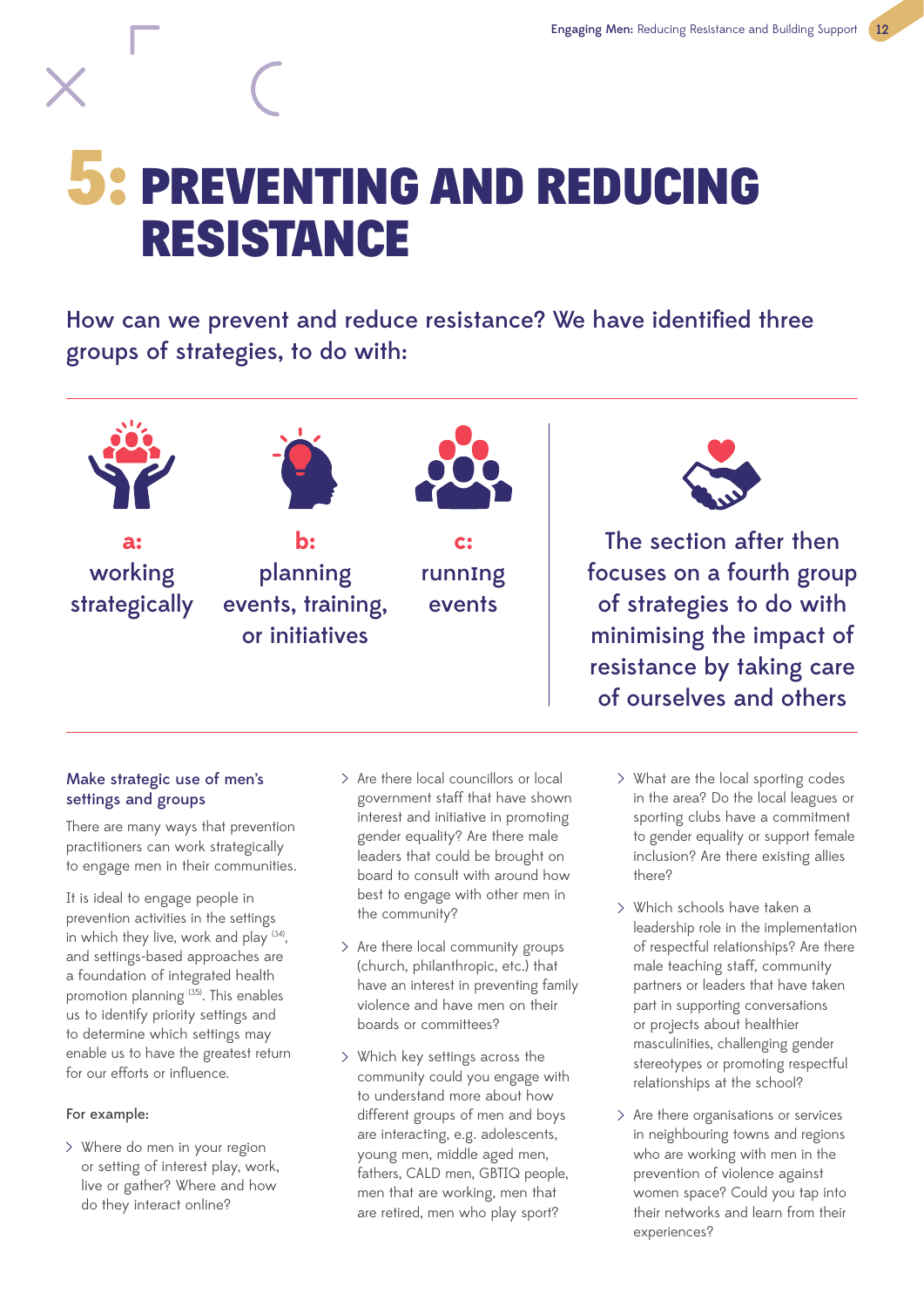## 5: PREVENTING AND REDUCING RESISTANCE

How can we prevent and reduce resistance? We have identified three groups of strategies, to do with:



## Make strategic use of men's settings and groups

There are many ways that prevention practitioners can work strategically to engage men in their communities.

It is ideal to engage people in prevention activities in the settings in which they live, work and play (34), and settings-based approaches are a foundation of integrated health promotion planning (35). This enables us to identify priority settings and to determine which settings may enable us to have the greatest return for our efforts or influence.

## For example:

Where do men in your region or setting of interest play, work, live or gather? Where and how do they interact online?

- Are there local councillors or local government staff that have shown interest and initiative in promoting gender equality? Are there male leaders that could be brought on board to consult with around how best to engage with other men in the community?
- $>$  Are there local community groups (church, philanthropic, etc.) that have an interest in preventing family violence and have men on their boards or committees?
- Which key settings across the community could you engage with to understand more about how different groups of men and boys are interacting, e.g. adolescents, young men, middle aged men, fathers, CALD men, GBTIQ people, men that are working, men that are retired, men who play sport?

What are the local sporting codes in the area? Do the local leagues or sporting clubs have a commitment to gender equality or support female inclusion? Are there existing allies there?

of ourselves and others

- Which schools have taken a leadership role in the implementation of respectful relationships? Are there male teaching staff, community partners or leaders that have taken part in supporting conversations or projects about healthier masculinities, challenging gender stereotypes or promoting respectful relationships at the school?
- $>$  Are there organisations or services in neighbouring towns and regions who are working with men in the prevention of violence against women space? Could you tap into their networks and learn from their experiences?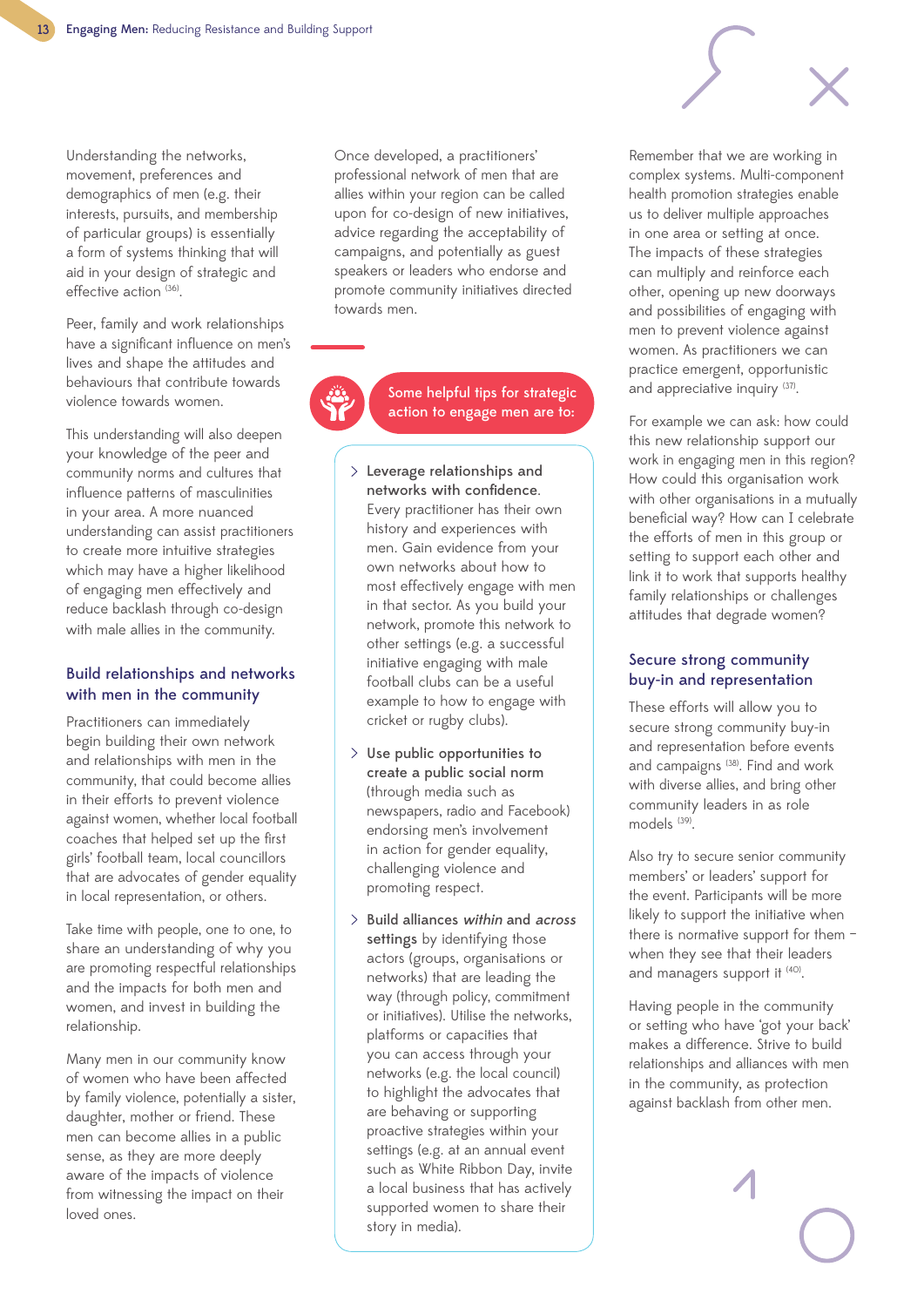Understanding the networks, movement, preferences and demographics of men (e.g. their interests, pursuits, and membership of particular groups) is essentially a form of systems thinking that will aid in your design of strategic and effective action (36).

Peer, family and work relationships have a significant influence on men's lives and shape the attitudes and behaviours that contribute towards violence towards women.

This understanding will also deepen your knowledge of the peer and community norms and cultures that influence patterns of masculinities in your area. A more nuanced understanding can assist practitioners to create more intuitive strategies which may have a higher likelihood of engaging men effectively and reduce backlash through co-design with male allies in the community.

#### Build relationships and networks with men in the community

Practitioners can immediately begin building their own network and relationships with men in the community, that could become allies in their efforts to prevent violence against women, whether local football coaches that helped set up the first girls' football team, local councillors that are advocates of gender equality in local representation, or others.

Take time with people, one to one, to share an understanding of why you are promoting respectful relationships and the impacts for both men and women, and invest in building the relationship.

Many men in our community know of women who have been affected by family violence, potentially a sister, daughter, mother or friend. These men can become allies in a public sense, as they are more deeply aware of the impacts of violence from witnessing the impact on their loved ones.

Once developed, a practitioners' professional network of men that are allies within your region can be called upon for co-design of new initiatives, advice regarding the acceptability of campaigns, and potentially as guest speakers or leaders who endorse and promote community initiatives directed towards men.

> Some helpful tips for strategic action to engage men are to:

- Leverage relationships and networks with confidence. Every practitioner has their own history and experiences with men. Gain evidence from your own networks about how to most effectively engage with men in that sector. As you build your network, promote this network to other settings (e.g. a successful initiative engaging with male football clubs can be a useful example to how to engage with cricket or rugby clubs).
- $>$  Use public opportunities to create a public social norm (through media such as newspapers, radio and Facebook) endorsing men's involvement in action for gender equality, challenging violence and promoting respect.
- $>$  Build alliances within and across settings by identifying those actors (groups, organisations or networks) that are leading the way (through policy, commitment or initiatives). Utilise the networks, platforms or capacities that you can access through your networks (e.g. the local council) to highlight the advocates that are behaving or supporting proactive strategies within your settings (e.g. at an annual event such as White Ribbon Day, invite a local business that has actively supported women to share their story in media).

Remember that we are working in complex systems. Multi-component health promotion strategies enable us to deliver multiple approaches in one area or setting at once. The impacts of these strategies can multiply and reinforce each other, opening up new doorways and possibilities of engaging with men to prevent violence against women. As practitioners we can practice emergent, opportunistic and appreciative inquiry (37).

For example we can ask: how could this new relationship support our work in engaging men in this region? How could this organisation work with other organisations in a mutually beneficial way? How can I celebrate the efforts of men in this group or setting to support each other and link it to work that supports healthy family relationships or challenges attitudes that degrade women?

### Secure strong community buy-in and representation

These efforts will allow you to secure strong community buy-in and representation before events and campaigns (38). Find and work with diverse allies, and bring other community leaders in as role models<sup>(39)</sup>.

Also try to secure senior community members' or leaders' support for the event. Participants will be more likely to support the initiative when there is normative support for them – when they see that their leaders and managers support it (40).

Having people in the community or setting who have 'got your back' makes a difference. Strive to build relationships and alliances with men in the community, as protection against backlash from other men.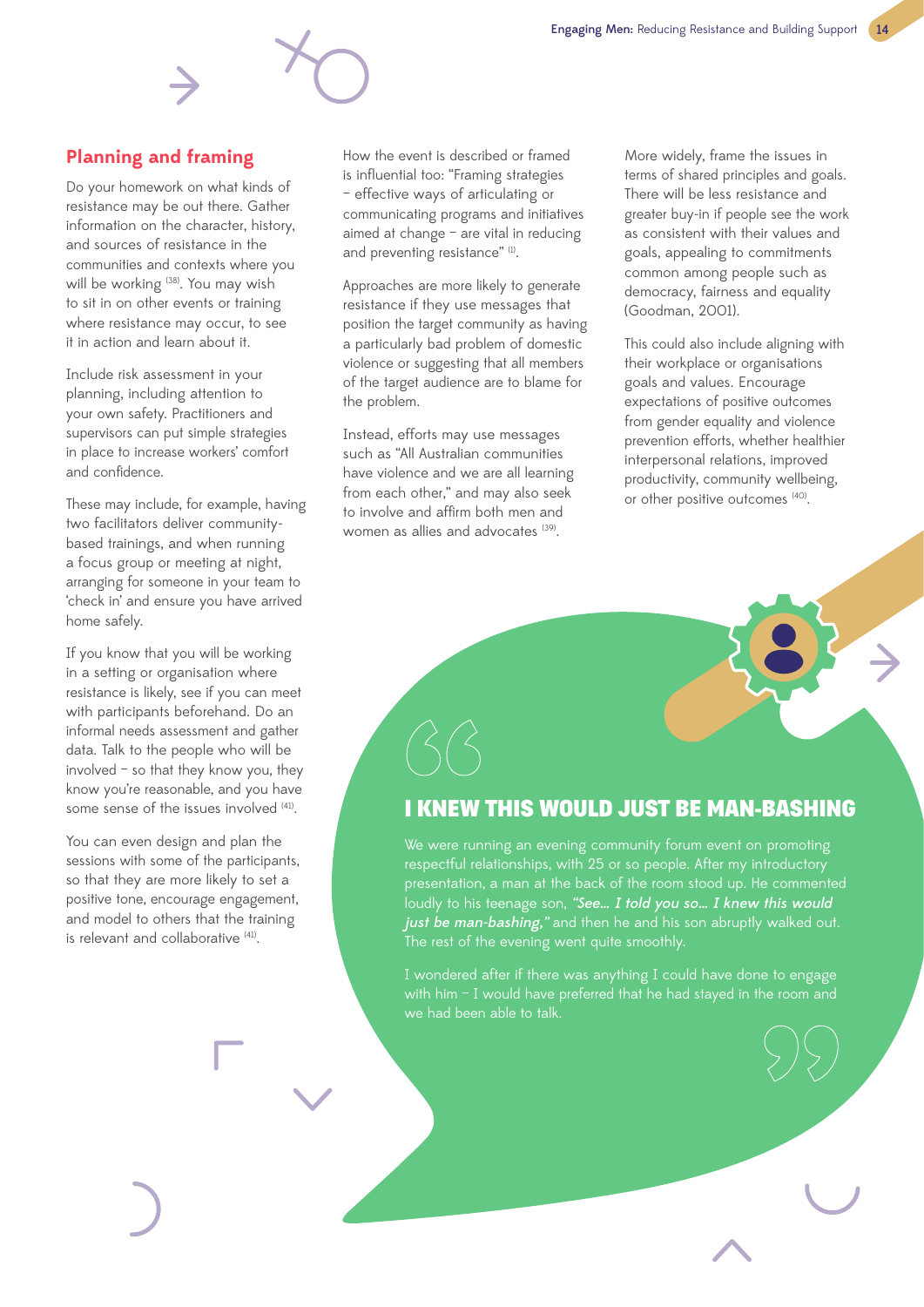## **Planning and framing**

Do your homework on what kinds of resistance may be out there. Gather information on the character, history, and sources of resistance in the communities and contexts where you will be working <sup>(38)</sup>. You may wish to sit in on other events or training where resistance may occur, to see it in action and learn about it.

Include risk assessment in your planning, including attention to your own safety. Practitioners and supervisors can put simple strategies in place to increase workers' comfort and confidence.

These may include, for example, having two facilitators deliver communitybased trainings, and when running a focus group or meeting at night, arranging for someone in your team to 'check in' and ensure you have arrived home safely.

If you know that you will be working in a setting or organisation where resistance is likely, see if you can meet with participants beforehand. Do an informal needs assessment and gather data. Talk to the people who will be involved – so that they know you, they know you're reasonable, and you have some sense of the issues involved <sup>(41)</sup>.

You can even design and plan the sessions with some of the participants, so that they are more likely to set a positive tone, encourage engagement, and model to others that the training is relevant and collaborative (41).

How the event is described or framed is influential too: "Framing strategies – effective ways of articulating or communicating programs and initiatives aimed at change – are vital in reducing and preventing resistance" (1).

Approaches are more likely to generate resistance if they use messages that position the target community as having a particularly bad problem of domestic violence or suggesting that all members of the target audience are to blame for the problem.

Instead, efforts may use messages such as "All Australian communities have violence and we are all learning from each other," and may also seek to involve and affirm both men and women as allies and advocates <sup>(39)</sup>.

More widely, frame the issues in terms of shared principles and goals. There will be less resistance and greater buy-in if people see the work as consistent with their values and goals, appealing to commitments common among people such as democracy, fairness and equality (Goodman, 2001).

This could also include aligning with their workplace or organisations goals and values. Encourage expectations of positive outcomes from gender equality and violence prevention efforts, whether healthier interpersonal relations, improved productivity, community wellbeing, or other positive outcomes (40).

## I KNEW THIS WOULD JUST BE MAN-BASHING

We were running an evening community forum event on promoting respectful relationships, with 25 or so people. After my introductory presentation, a man at the back of the room stood up. He commented loudly to his teenage son, "See... I told you so... I knew this would just be man-bashing," and then he and his son abruptly walked out. The rest of the evening went quite smoothly.

I wondered after if there was anything I could have done to engage with him - I would have preferred that he had stayed in the room and we had been able to talk.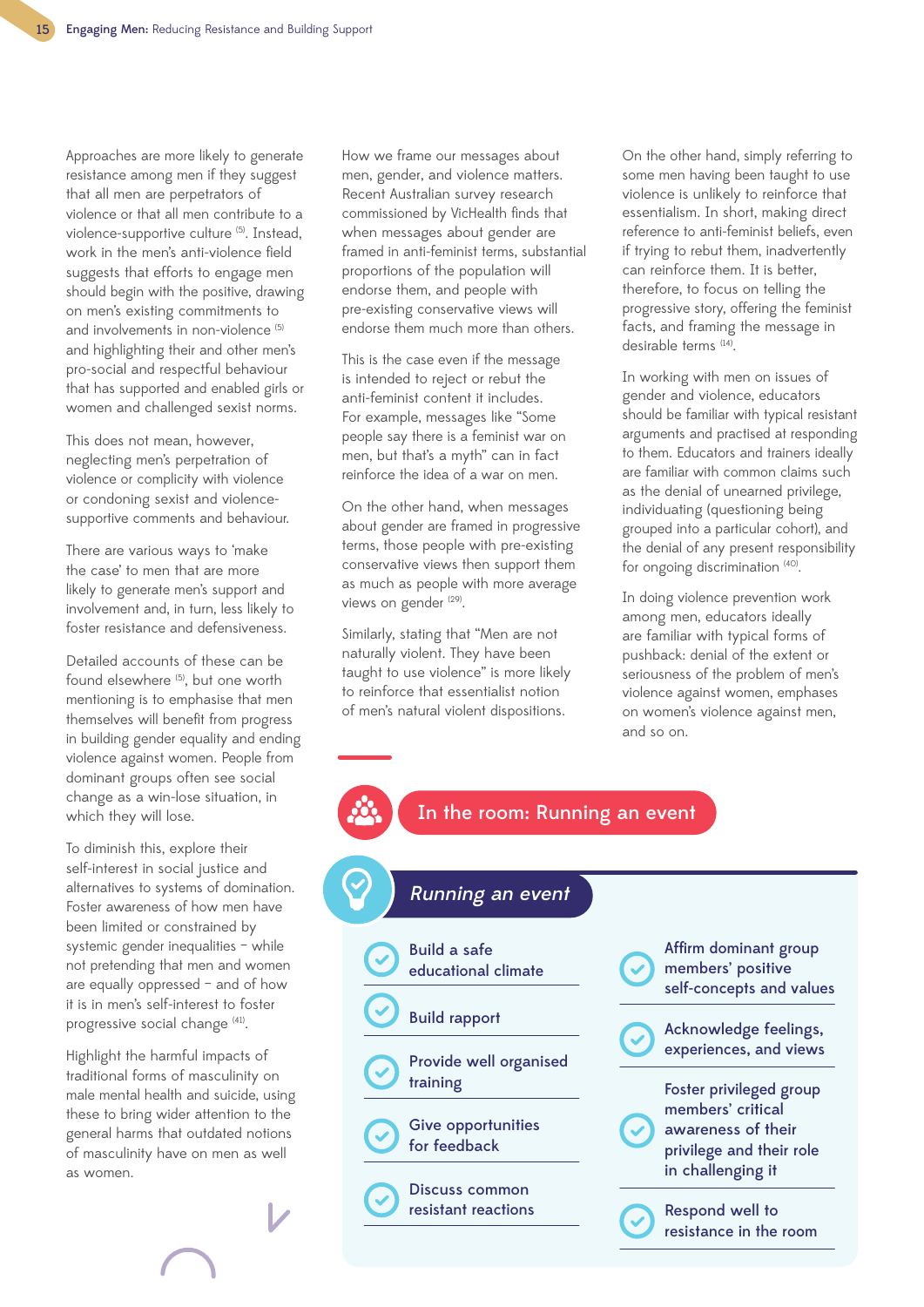Approaches are more likely to generate resistance among men if they suggest that all men are perpetrators of violence or that all men contribute to a violence-supportive culture (5). Instead. work in the men's anti-violence field suggests that efforts to engage men should begin with the positive, drawing on men's existing commitments to and involvements in non-violence<sup>(5)</sup> and highlighting their and other men's pro-social and respectful behaviour that has supported and enabled girls or women and challenged sexist norms.

This does not mean, however, neglecting men's perpetration of violence or complicity with violence or condoning sexist and violencesupportive comments and behaviour.

There are various ways to 'make the case' to men that are more likely to generate men's support and involvement and, in turn, less likely to foster resistance and defensiveness.

Detailed accounts of these can be found elsewhere (5), but one worth mentioning is to emphasise that men themselves will benefit from progress in building gender equality and ending violence against women. People from dominant groups often see social change as a win-lose situation, in which they will lose.

To diminish this, explore their self-interest in social justice and alternatives to systems of domination. Foster awareness of how men have been limited or constrained by systemic gender inequalities – while not pretending that men and women are equally oppressed – and of how it is in men's self-interest to foster progressive social change (41).

Highlight the harmful impacts of traditional forms of masculinity on male mental health and suicide, using these to bring wider attention to the general harms that outdated notions of masculinity have on men as well as women.

How we frame our messages about men, gender, and violence matters. Recent Australian survey research commissioned by VicHealth finds that when messages about gender are framed in anti-feminist terms, substantial proportions of the population will endorse them, and people with pre-existing conservative views will endorse them much more than others.

This is the case even if the message is intended to reject or rebut the anti-feminist content it includes. For example, messages like "Some people say there is a feminist war on men, but that's a myth" can in fact reinforce the idea of a war on men.

On the other hand, when messages about gender are framed in progressive terms, those people with pre-existing conservative views then support them as much as people with more average views on gender (29).

Similarly, stating that "Men are not naturally violent. They have been taught to use violence" is more likely to reinforce that essentialist notion of men's natural violent dispositions.

On the other hand, simply referring to some men having been taught to use violence is unlikely to reinforce that essentialism. In short, making direct reference to anti-feminist beliefs, even if trying to rebut them, inadvertently can reinforce them. It is better, therefore, to focus on telling the progressive story, offering the feminist facts, and framing the message in desirable terms (14).

In working with men on issues of gender and violence, educators should be familiar with typical resistant arguments and practised at responding to them. Educators and trainers ideally are familiar with common claims such as the denial of unearned privilege, individuating (questioning being grouped into a particular cohort), and the denial of any present responsibility for ongoing discrimination (40).

In doing violence prevention work among men, educators ideally are familiar with typical forms of pushback: denial of the extent or seriousness of the problem of men's violence against women, emphases on women's violence against men, and so on.

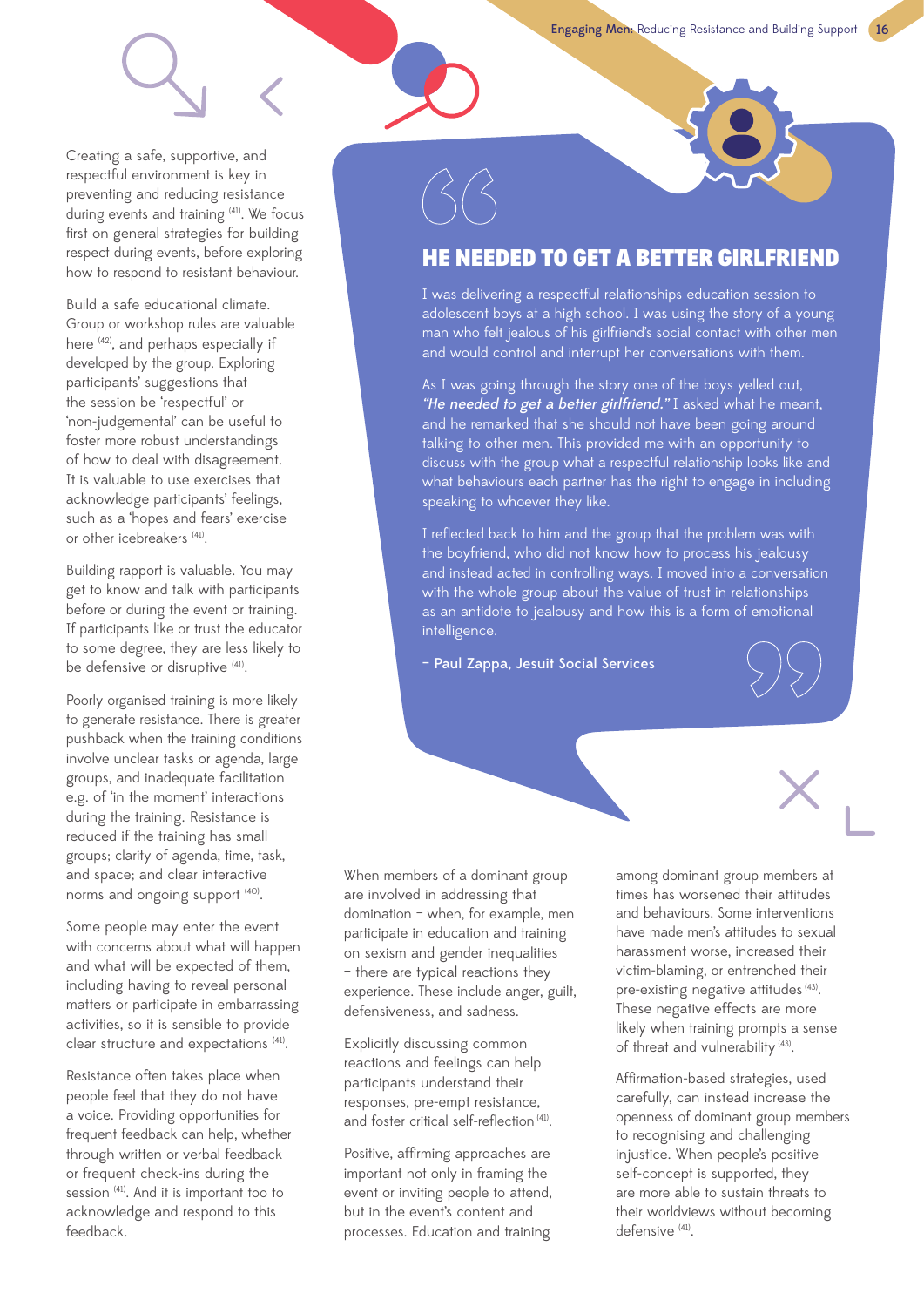Creating a safe, supportive, and respectful environment is key in preventing and reducing resistance during events and training <sup>(41)</sup>. We focus first on general strategies for building respect during events, before exploring how to respond to resistant behaviour.

Build a safe educational climate. Group or workshop rules are valuable here <sup>(42)</sup>, and perhaps especially if developed by the group. Exploring participants' suggestions that the session be 'respectful' or 'non-judgemental' can be useful to foster more robust understandings of how to deal with disagreement. It is valuable to use exercises that acknowledge participants' feelings, such as a 'hopes and fears' exercise or other icebreakers (41).

Building rapport is valuable. You may get to know and talk with participants before or during the event or training. If participants like or trust the educator to some degree, they are less likely to be defensive or disruptive (41).

Poorly organised training is more likely to generate resistance. There is greater pushback when the training conditions involve unclear tasks or agenda, large groups, and inadequate facilitation e.g. of 'in the moment' interactions during the training. Resistance is reduced if the training has small groups; clarity of agenda, time, task, and space; and clear interactive norms and ongoing support <sup>(40)</sup>.

Some people may enter the event with concerns about what will happen and what will be expected of them, including having to reveal personal matters or participate in embarrassing activities, so it is sensible to provide clear structure and expectations (41).

Resistance often takes place when people feel that they do not have a voice. Providing opportunities for frequent feedback can help, whether through written or verbal feedback or frequent check-ins during the session (41). And it is important too to acknowledge and respond to this feedback.

## HE NEEDED TO GET A BETTER GIRLFRIEND

I was delivering a respectful relationships education session to adolescent boys at a high school. I was using the story of a young man who felt jealous of his girlfriend's social contact with other men and would control and interrupt her conversations with them.

As I was going through the story one of the boys yelled out, "He needed to get a better girlfriend." I asked what he meant, and he remarked that she should not have been going around talking to other men. This provided me with an opportunity to discuss with the group what a respectful relationship looks like and what behaviours each partner has the right to engage in including speaking to whoever they like.

I reflected back to him and the group that the problem was with the boyfriend, who did not know how to process his jealousy and instead acted in controlling ways. I moved into a conversation with the whole group about the value of trust in relationships as an antidote to jealousy and how this is a form of emotional intelligence.

– Paul Zappa, Jesuit Social Services

When members of a dominant group are involved in addressing that domination – when, for example, men participate in education and training on sexism and gender inequalities – there are typical reactions they experience. These include anger, guilt, defensiveness, and sadness.

Explicitly discussing common reactions and feelings can help participants understand their responses, pre-empt resistance, and foster critical self-reflection (41).

Positive, affirming approaches are important not only in framing the event or inviting people to attend, but in the event's content and processes. Education and training

among dominant group members at times has worsened their attitudes and behaviours. Some interventions have made men's attitudes to sexual harassment worse, increased their victim-blaming, or entrenched their pre-existing negative attitudes (43). These negative effects are more likely when training prompts a sense of threat and vulnerability (43).

Affirmation-based strategies, used carefully, can instead increase the openness of dominant group members to recognising and challenging injustice. When people's positive self-concept is supported, they are more able to sustain threats to their worldviews without becoming defensive<sup>(41)</sup>.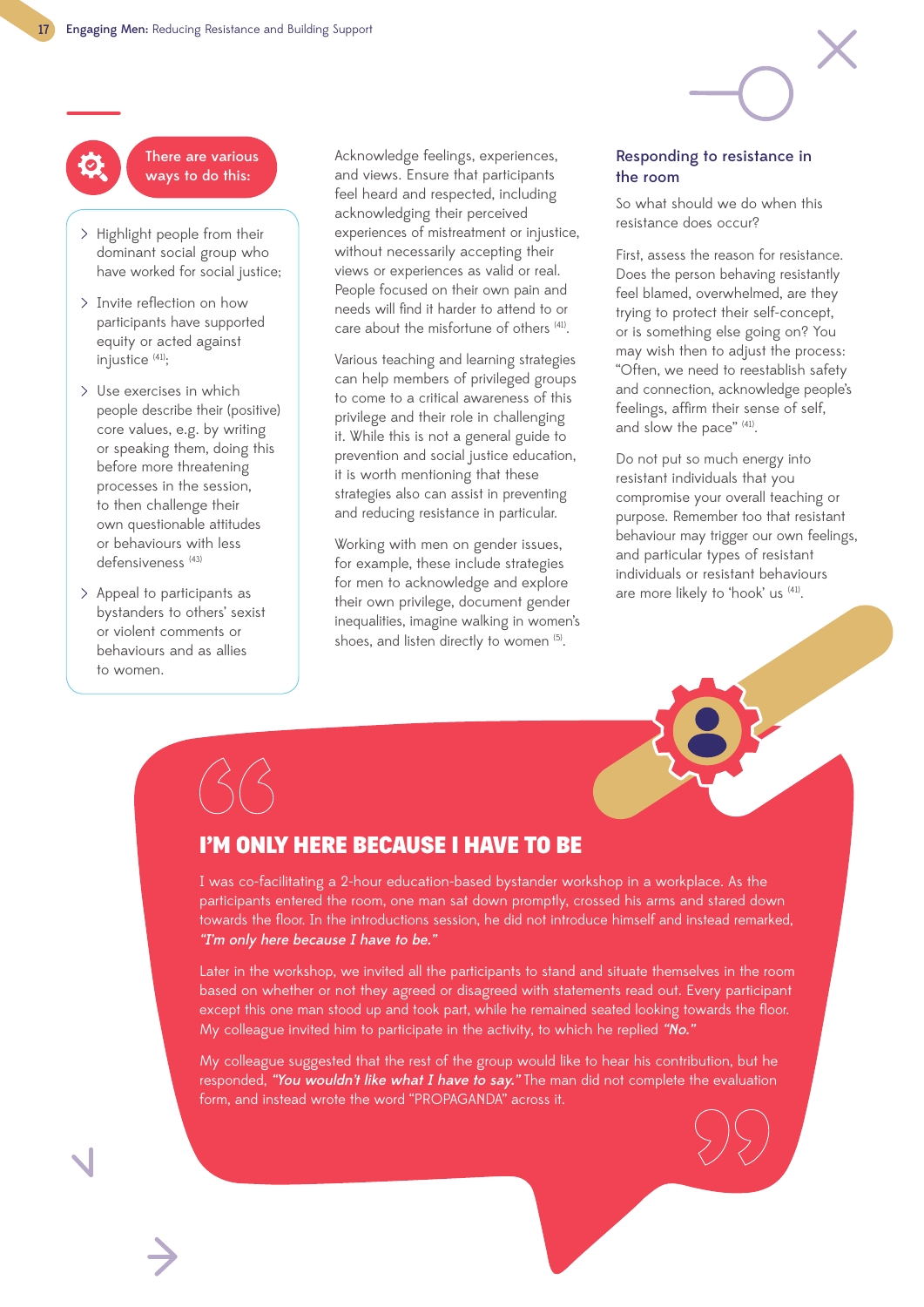There are various ways to do this:

- > Highlight people from their dominant social group who have worked for social justice;
- > Invite reflection on how participants have supported equity or acted against injustice (41);
- Use exercises in which people describe their (positive) core values, e.g. by writing or speaking them, doing this before more threatening processes in the session, to then challenge their own questionable attitudes or behaviours with less defensiveness (43)
- Appeal to participants as bystanders to others' sexist or violent comments or behaviours and as allies to women.

Acknowledge feelings, experiences, and views. Ensure that participants feel heard and respected, including acknowledging their perceived experiences of mistreatment or injustice, without necessarily accepting their views or experiences as valid or real. People focused on their own pain and needs will find it harder to attend to or care about the misfortune of others (41).

Various teaching and learning strategies can help members of privileged groups to come to a critical awareness of this privilege and their role in challenging it. While this is not a general guide to prevention and social justice education, it is worth mentioning that these strategies also can assist in preventing and reducing resistance in particular.

Working with men on gender issues, for example, these include strategies for men to acknowledge and explore their own privilege, document gender inequalities, imagine walking in women's shoes, and listen directly to women (5).

#### Responding to resistance in the room

So what should we do when this resistance does occur?

First, assess the reason for resistance. Does the person behaving resistantly feel blamed, overwhelmed, are they trying to protect their self-concept, or is something else going on? You may wish then to adjust the process: "Often, we need to reestablish safety and connection, acknowledge people's feelings, affirm their sense of self, and slow the pace" (41).

Do not put so much energy into resistant individuals that you compromise your overall teaching or purpose. Remember too that resistant behaviour may trigger our own feelings, and particular types of resistant individuals or resistant behaviours are more likely to 'hook' us (41).



## I'M ONLY HERE BECAUSE I HAVE TO BE

I was co-facilitating a 2-hour education-based bystander workshop in a workplace. As the participants entered the room, one man sat down promptly, crossed his arms and stared down towards the floor. In the introductions session, he did not introduce himself and instead remarked, "I'm only here because I have to be."

Later in the workshop, we invited all the participants to stand and situate themselves in the room based on whether or not they agreed or disagreed with statements read out. Every participant except this one man stood up and took part, while he remained seated looking towards the floor. My colleague invited him to participate in the activity, to which he replied "No."

My colleague suggested that the rest of the group would like to hear his contribution, but he responded, "You wouldn't like what I have to say." The man did not complete the evaluation form, and instead wrote the word "PROPAGANDA" across it.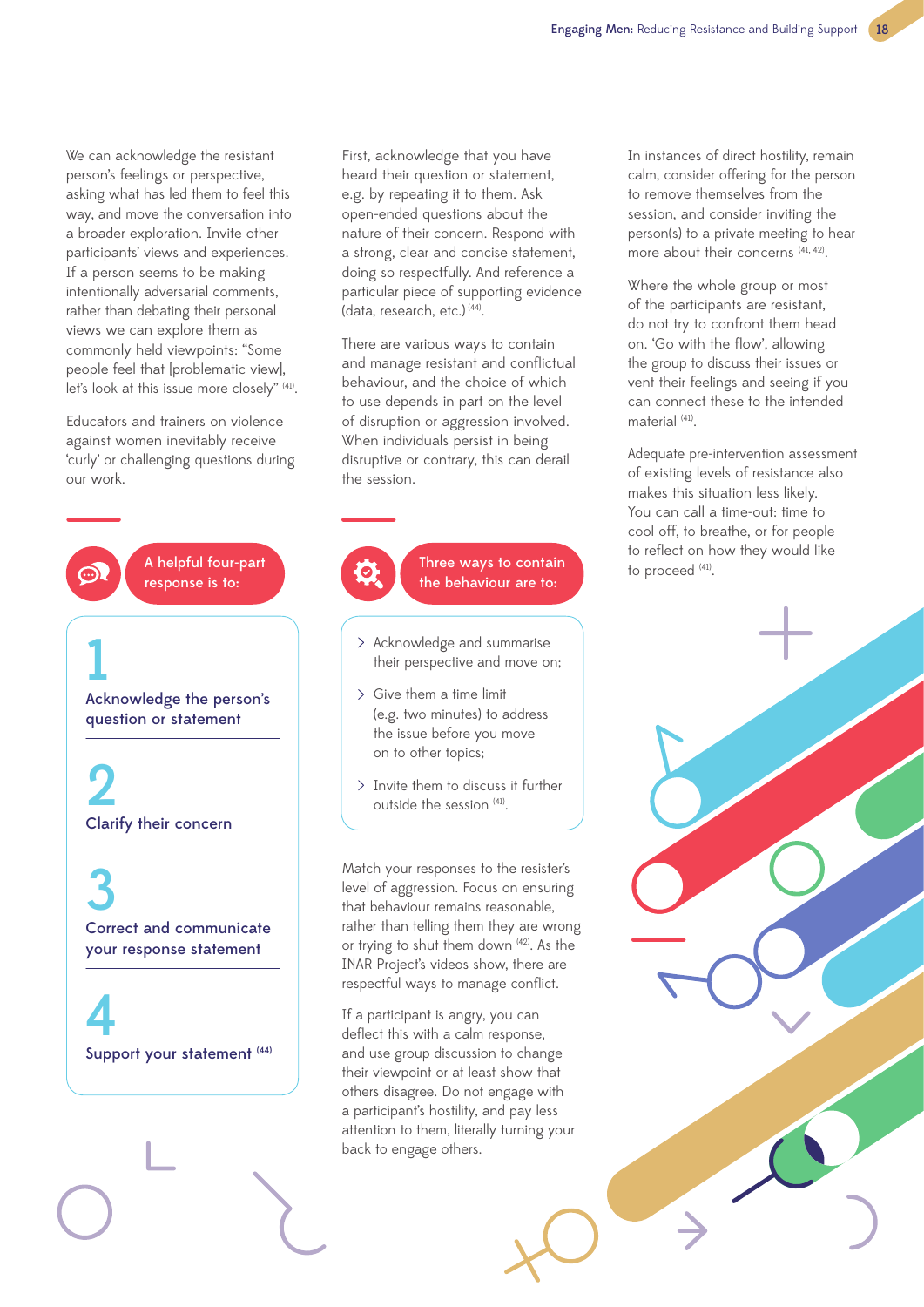We can acknowledge the resistant person's feelings or perspective, asking what has led them to feel this way, and move the conversation into a broader exploration. Invite other participants' views and experiences. If a person seems to be making intentionally adversarial comments, rather than debating their personal views we can explore them as commonly held viewpoints: "Some people feel that [problematic view], let's look at this issue more closely" (41).

Educators and trainers on violence against women inevitably receive 'curly' or challenging questions during our work.



First, acknowledge that you have heard their question or statement, e.g. by repeating it to them. Ask open-ended questions about the nature of their concern. Respond with a strong, clear and concise statement, doing so respectfully. And reference a particular piece of supporting evidence (data, research, etc.)<sup>(44)</sup>.

There are various ways to contain and manage resistant and conflictual behaviour, and the choice of which to use depends in part on the level of disruption or aggression involved. When individuals persist in being disruptive or contrary, this can derail the session.



Three ways to contain the behaviour are to:

- Acknowledge and summarise their perspective and move on;
- Give them a time limit (e.g. two minutes) to address the issue before you move on to other topics;
- $>$  Invite them to discuss it further outside the session (41).

Match your responses to the resister's level of aggression. Focus on ensuring that behaviour remains reasonable, rather than telling them they are wrong or trying to shut them down (42). As the INAR Project's videos show, there are respectful ways to manage conflict.

If a participant is angry, you can deflect this with a calm response, and use group discussion to change their viewpoint or at least show that others disagree. Do not engage with a participant's hostility, and pay less attention to them, literally turning your back to engage others.

In instances of direct hostility, remain calm, consider offering for the person to remove themselves from the session, and consider inviting the person(s) to a private meeting to hear more about their concerns  $(41, 42)$ .

Where the whole group or most of the participants are resistant, do not try to confront them head on. 'Go with the flow', allowing the group to discuss their issues or vent their feelings and seeing if you can connect these to the intended material<sup>(41)</sup>

Adequate pre-intervention assessment of existing levels of resistance also makes this situation less likely. You can call a time-out: time to cool off, to breathe, or for people to reflect on how they would like to proceed (41).

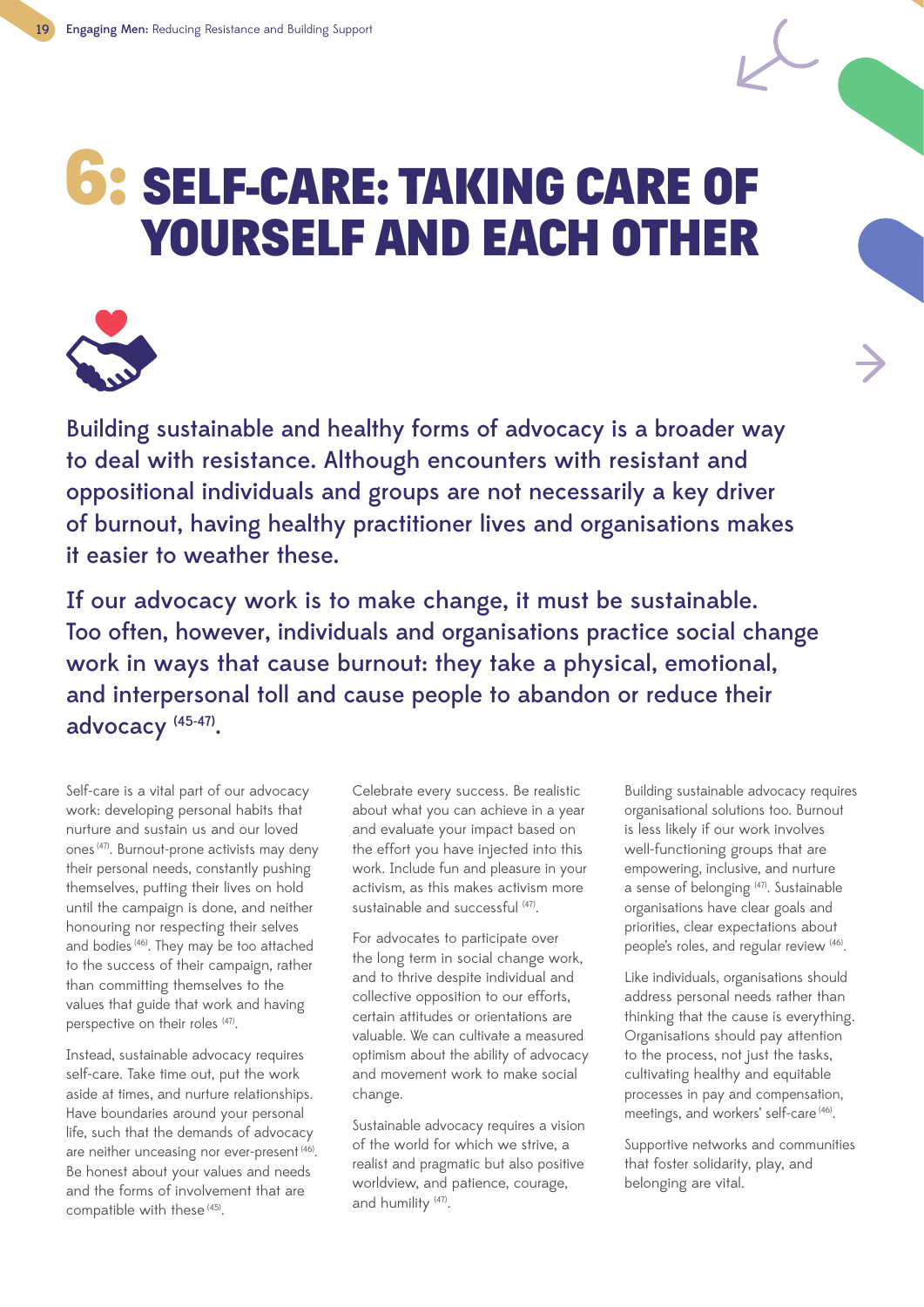## 6: SELF-CARE: TAKING CARE OF YOURSELF AND EACH OTHER



Building sustainable and healthy forms of advocacy is a broader way to deal with resistance. Although encounters with resistant and oppositional individuals and groups are not necessarily a key driver of burnout, having healthy practitioner lives and organisations makes it easier to weather these.

If our advocacy work is to make change, it must be sustainable. Too often, however, individuals and organisations practice social change work in ways that cause burnout: they take a physical, emotional, and interpersonal toll and cause people to abandon or reduce their advocacy (45-47).

Self-care is a vital part of our advocacy work: developing personal habits that nurture and sustain us and our loved ones (47). Burnout-prone activists may deny their personal needs, constantly pushing themselves, putting their lives on hold until the campaign is done, and neither honouring nor respecting their selves and bodies (46). They may be too attached to the success of their campaign, rather than committing themselves to the values that guide that work and having perspective on their roles (47).

Instead, sustainable advocacy requires self-care. Take time out, put the work aside at times, and nurture relationships. Have boundaries around your personal life, such that the demands of advocacy are neither unceasing nor ever-present (46). Be honest about your values and needs and the forms of involvement that are compatible with these<sup>(45)</sup>.

Celebrate every success. Be realistic about what you can achieve in a year and evaluate your impact based on the effort you have injected into this work. Include fun and pleasure in your activism, as this makes activism more sustainable and successful (47).

For advocates to participate over the long term in social change work, and to thrive despite individual and collective opposition to our efforts, certain attitudes or orientations are valuable. We can cultivate a measured optimism about the ability of advocacy and movement work to make social change.

Sustainable advocacy requires a vision of the world for which we strive, a realist and pragmatic but also positive worldview, and patience, courage, and humility (47).

Building sustainable advocacy requires organisational solutions too. Burnout is less likely if our work involves well-functioning groups that are empowering, inclusive, and nurture a sense of belonging <sup>(47)</sup>. Sustainable organisations have clear goals and priorities, clear expectations about people's roles, and regular review (46).

Like individuals, organisations should address personal needs rather than thinking that the cause is everything. Organisations should pay attention to the process, not just the tasks, cultivating healthy and equitable processes in pay and compensation, meetings, and workers' self-care (46).

Supportive networks and communities that foster solidarity, play, and belonging are vital.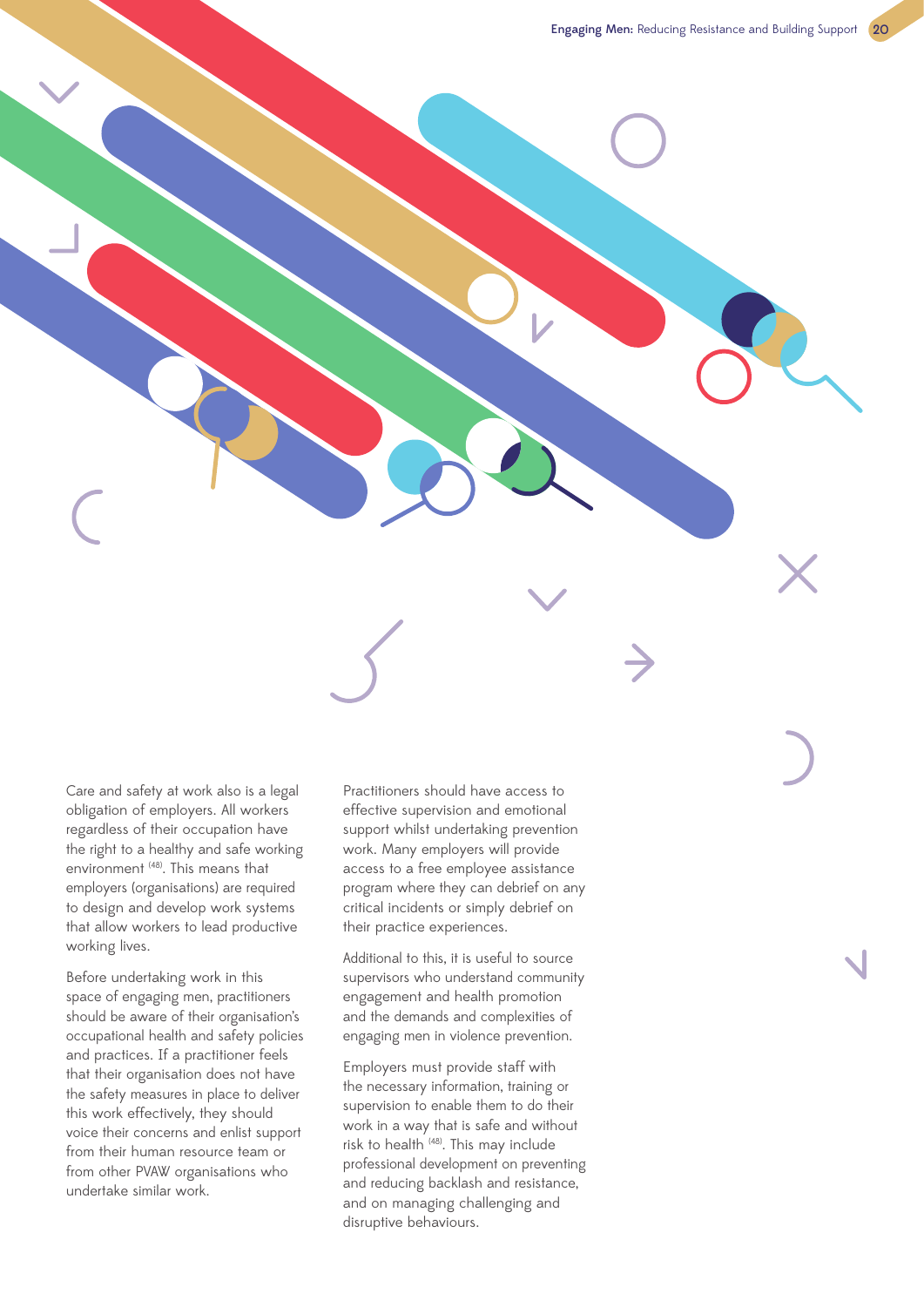Care and safety at work also is a legal obligation of employers. All workers regardless of their occupation have the right to a healthy and safe working environment (48). This means that employers (organisations) are required to design and develop work systems that allow workers to lead productive working lives.

Before undertaking work in this space of engaging men, practitioners should be aware of their organisation's occupational health and safety policies and practices. If a practitioner feels that their organisation does not have the safety measures in place to deliver this work effectively, they should voice their concerns and enlist support from their human resource team or from other PVAW organisations who undertake similar work.

Practitioners should have access to effective supervision and emotional support whilst undertaking prevention work. Many employers will provide access to a free employee assistance program where they can debrief on any critical incidents or simply debrief on their practice experiences.

Additional to this, it is useful to source supervisors who understand community engagement and health promotion and the demands and complexities of engaging men in violence prevention.

Employers must provide staff with the necessary information, training or supervision to enable them to do their work in a way that is safe and without risk to health (48). This may include professional development on preventing and reducing backlash and resistance, and on managing challenging and disruptive behaviours.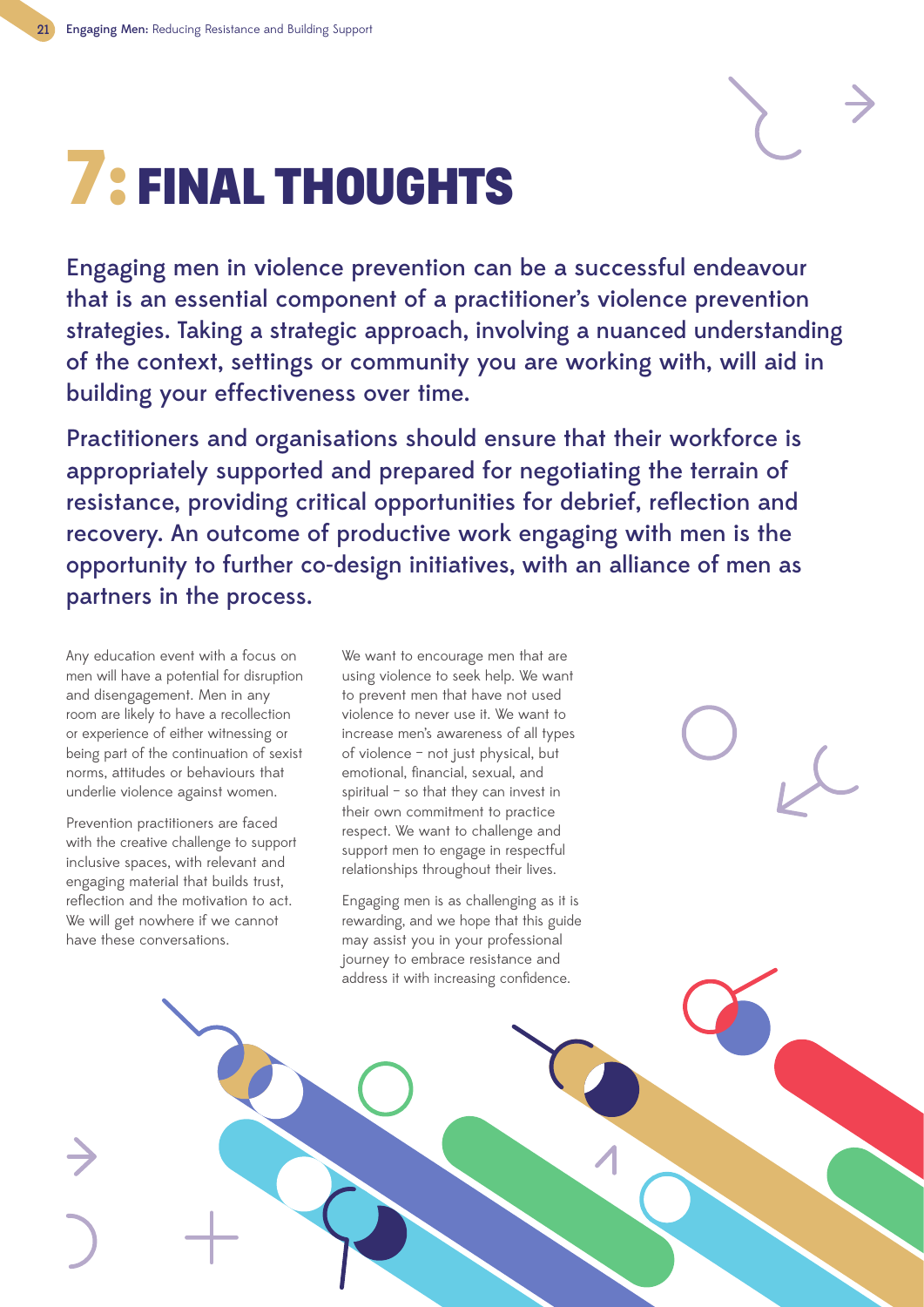## 7: FINAL THOUGHTS

Engaging men in violence prevention can be a successful endeavour that is an essential component of a practitioner's violence prevention strategies. Taking a strategic approach, involving a nuanced understanding of the context, settings or community you are working with, will aid in building your effectiveness over time.

Practitioners and organisations should ensure that their workforce is appropriately supported and prepared for negotiating the terrain of resistance, providing critical opportunities for debrief, reflection and recovery. An outcome of productive work engaging with men is the opportunity to further co-design initiatives, with an alliance of men as partners in the process.

Any education event with a focus on men will have a potential for disruption and disengagement. Men in any room are likely to have a recollection or experience of either witnessing or being part of the continuation of sexist norms, attitudes or behaviours that underlie violence against women.

Prevention practitioners are faced with the creative challenge to support inclusive spaces, with relevant and engaging material that builds trust, reflection and the motivation to act. We will get nowhere if we cannot have these conversations.

We want to encourage men that are using violence to seek help. We want to prevent men that have not used violence to never use it. We want to increase men's awareness of all types of violence – not just physical, but emotional, financial, sexual, and spiritual – so that they can invest in their own commitment to practice respect. We want to challenge and support men to engage in respectful relationships throughout their lives.

Engaging men is as challenging as it is rewarding, and we hope that this guide may assist you in your professional journey to embrace resistance and address it with increasing confidence.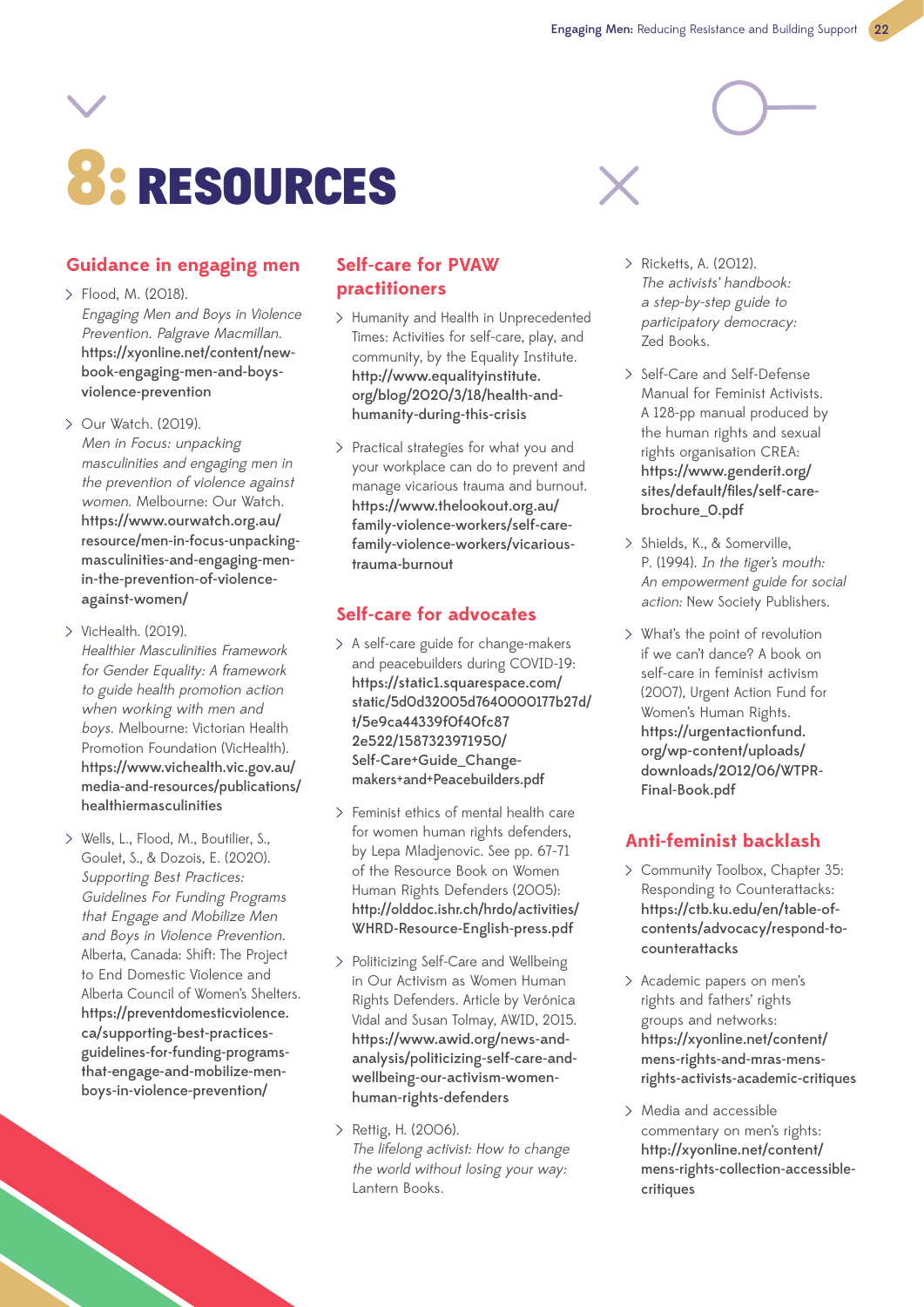# 8: RESOURCES



## **Guidance in engaging men**

- Flood, M. (2018). Engaging Men and Boys in Violence Prevention. Palgrave Macmillan. https://xyonline.net/content/newbook-engaging-men-and-boysviolence-prevention
- $\sum$  Our Watch. (2019). Men in Focus: unpacking masculinities and engaging men in the prevention of violence against women. Melbourne: Our Watch. https://www.ourwatch.org.au/ resource/men-in-focus-unpackingmasculinities-and-engaging-menin-the-prevention-of-violenceagainst-women/
- $\geq$  VicHealth. (2019). Healthier Masculinities Framework for Gender Equality: A framework to guide health promotion action when working with men and boys. Melbourne: Victorian Health Promotion Foundation (VicHealth). https://www.vichealth.vic.gov.au/ media-and-resources/publications/ healthiermasculinities
- Wells, L., Flood, M., Boutilier, S., Goulet, S., & Dozois, E. (2020). Supporting Best Practices: Guidelines For Funding Programs that Engage and Mobilize Men and Boys in Violence Prevention. Alberta, Canada: Shift: The Project to End Domestic Violence and Alberta Council of Women's Shelters. https://preventdomesticviolence. ca/supporting-best-practicesguidelines-for-funding-programsthat-engage-and-mobilize-menboys-in-violence-prevention/

## **Self-care for PVAW practitioners**

- > Humanity and Health in Unprecedented Times: Activities for self-care, play, and community, by the Equality Institute. http://www.equalityinstitute. org/blog/2020/3/18/health-andhumanity-during-this-crisis
- Practical strategies for what you and your workplace can do to prevent and manage vicarious trauma and burnout. https://www.thelookout.org.au/ family-violence-workers/self-carefamily-violence-workers/vicarioustrauma-burnout

## **Self-care for advocates**

- $>$  A self-care guide for change-makers and peacebuilders during COVID-19: https://static1.squarespace.com/ static/5d0d32005d7640000177b27d/ t/5e9ca44339f0f40fc87 2e522/1587323971950/ Self-Care+Guide\_Changemakers+and+Peacebuilders.pdf
- Feminist ethics of mental health care for women human rights defenders, by Lepa Mladjenovic. See pp. 67-71 of the Resource Book on Women Human Rights Defenders (2005): http://olddoc.ishr.ch/hrdo/activities/ WHRD-Resource-English-press.pdf
- Politicizing Self-Care and Wellbeing in Our Activism as Women Human Rights Defenders. Article by Verónica Vidal and Susan Tolmay, AWID, 2015. https://www.awid.org/news-andanalysis/politicizing-self-care-andwellbeing-our-activism-womenhuman-rights-defenders
- > Rettig, H. (2006). The lifelong activist: How to change the world without losing your way: Lantern Books.
- Ricketts, A. (2012). The activists' handbook: a step-by-step guide to participatory democracy: Zed Books.
- > Self-Care and Self-Defense Manual for Feminist Activists. A 128-pp manual produced by the human rights and sexual rights organisation CREA: https://www.genderit.org/ sites/default/files/self-carebrochure\_0.pdf
- > Shields, K., & Somerville, P. (1994). In the tiger's mouth: An empowerment guide for social action: New Society Publishers.
- What's the point of revolution if we can't dance? A book on self-care in feminist activism (2007), Urgent Action Fund for Women's Human Rights. https://urgentactionfund. org/wp-content/uploads/ downloads/2012/06/WTPR-Final-Book.pdf

## **Anti-feminist backlash**

- Community Toolbox, Chapter 35: Responding to Counterattacks: https://ctb.ku.edu/en/table-ofcontents/advocacy/respond-tocounterattacks
- Academic papers on men's rights and fathers' rights groups and networks: https://xyonline.net/content/ mens-rights-and-mras-mensrights-activists-academic-critiques
- Media and accessible commentary on men's rights: http://xyonline.net/content/ mens-rights-collection-accessiblecritiques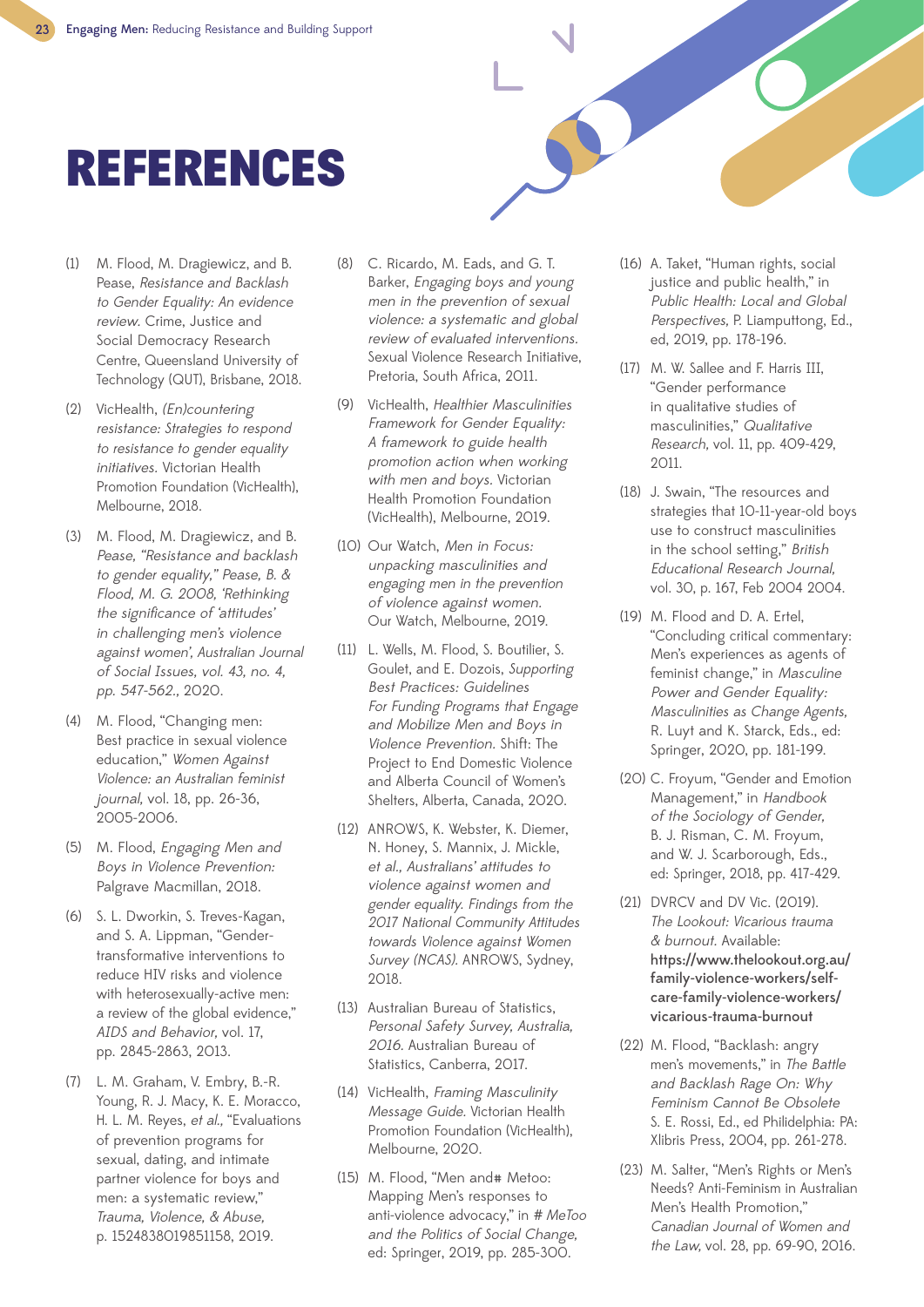## REFERENCES

- (1) M. Flood, M. Dragiewicz, and B. Pease, Resistance and Backlash to Gender Equality: An evidence review. Crime, Justice and Social Democracy Research Centre, Queensland University of Technology (QUT), Brisbane, 2018.
- (2) VicHealth, (En)countering resistance: Strategies to respond to resistance to gender equality initiatives. Victorian Health Promotion Foundation (VicHealth), Melbourne, 2018.
- (3) M. Flood, M. Dragiewicz, and B. Pease, "Resistance and backlash to gender equality," Pease, B. & Flood, M. G. 2008, 'Rethinking the significance of 'attitudes' in challenging men's violence against women', Australian Journal of Social Issues, vol. 43, no. 4, pp. 547-562., 2020.
- (4) M. Flood, "Changing men: Best practice in sexual violence education," Women Against Violence: an Australian feminist journal, vol. 18, pp. 26-36, 2005-2006.
- (5) M. Flood, Engaging Men and Boys in Violence Prevention: Palgrave Macmillan, 2018.
- (6) S. L. Dworkin, S. Treves-Kagan, and S. A. Lippman, "Gendertransformative interventions to reduce HIV risks and violence with heterosexually-active men: a review of the global evidence," AIDS and Behavior, vol. 17, pp. 2845-2863, 2013.
- (7) L. M. Graham, V. Embry, B.-R. Young, R. J. Macy, K. E. Moracco, H. L. M. Reyes, et al., "Evaluations of prevention programs for sexual, dating, and intimate partner violence for boys and men: a systematic review," Trauma, Violence, & Abuse, p. 1524838019851158, 2019.
- (8) C. Ricardo, M. Eads, and G. T. Barker, Engaging boys and young men in the prevention of sexual violence: a systematic and global review of evaluated interventions. Sexual Violence Research Initiative, Pretoria, South Africa, 2011.
- (9) VicHealth, Healthier Masculinities Framework for Gender Equality: A framework to guide health promotion action when working with men and boys. Victorian Health Promotion Foundation (VicHealth), Melbourne, 2019.
- (10) Our Watch, Men in Focus: unpacking masculinities and engaging men in the prevention of violence against women. Our Watch, Melbourne, 2019.
- (11) L. Wells, M. Flood, S. Boutilier, S. Goulet, and E. Dozois, Supporting Best Practices: Guidelines For Funding Programs that Engage and Mobilize Men and Boys in Violence Prevention. Shift: The Project to End Domestic Violence and Alberta Council of Women's Shelters, Alberta, Canada, 2020.
- (12) ANROWS, K. Webster, K. Diemer, N. Honey, S. Mannix, J. Mickle, et al., Australians' attitudes to violence against women and gender equality. Findings from the 2017 National Community Attitudes towards Violence against Women Survey (NCAS). ANROWS, Sydney, 2018.
- (13) Australian Bureau of Statistics, Personal Safety Survey, Australia, 2016. Australian Bureau of Statistics, Canberra, 2017.
- (14) VicHealth, Framing Masculinity Message Guide. Victorian Health Promotion Foundation (VicHealth), Melbourne, 2020.
- (15) M. Flood, "Men and# Metoo: Mapping Men's responses to anti-violence advocacy," in # MeToo and the Politics of Social Change, ed: Springer, 2019, pp. 285-300.
- (16) A. Taket, "Human rights, social justice and public health," in Public Health: Local and Global Perspectives, P. Liamputtong, Ed., ed, 2019, pp. 178-196.
- (17) M. W. Sallee and F. Harris III, "Gender performance in qualitative studies of masculinities," Qualitative Research, vol. 11, pp. 409-429, 2011.
- (18) J. Swain, "The resources and strategies that 10-11-year-old boys use to construct masculinities in the school setting," British Educational Research Journal, vol. 30, p. 167, Feb 2004 2004.
- (19) M. Flood and D. A. Ertel, "Concluding critical commentary: Men's experiences as agents of feminist change," in Masculine Power and Gender Equality: Masculinities as Change Agents, R. Luyt and K. Starck, Eds., ed: Springer, 2020, pp. 181-199.
- (20) C. Froyum, "Gender and Emotion Management," in Handbook of the Sociology of Gender, B. J. Risman, C. M. Froyum, and W. J. Scarborough, Eds., ed: Springer, 2018, pp. 417-429.
- (21) DVRCV and DV Vic. (2019). The Lookout: Vicarious trauma & burnout. Available: https://www.thelookout.org.au/ family-violence-workers/selfcare-family-violence-workers/ vicarious-trauma-burnout
- (22) M. Flood, "Backlash: angry men's movements," in The Battle and Backlash Rage On: Why Feminism Cannot Be Obsolete S. E. Rossi, Ed., ed Philidelphia: PA: Xlibris Press, 2004, pp. 261-278.
- (23) M. Salter, "Men's Rights or Men's Needs? Anti-Feminism in Australian Men's Health Promotion," Canadian Journal of Women and the Law, vol. 28, pp. 69-90, 2016.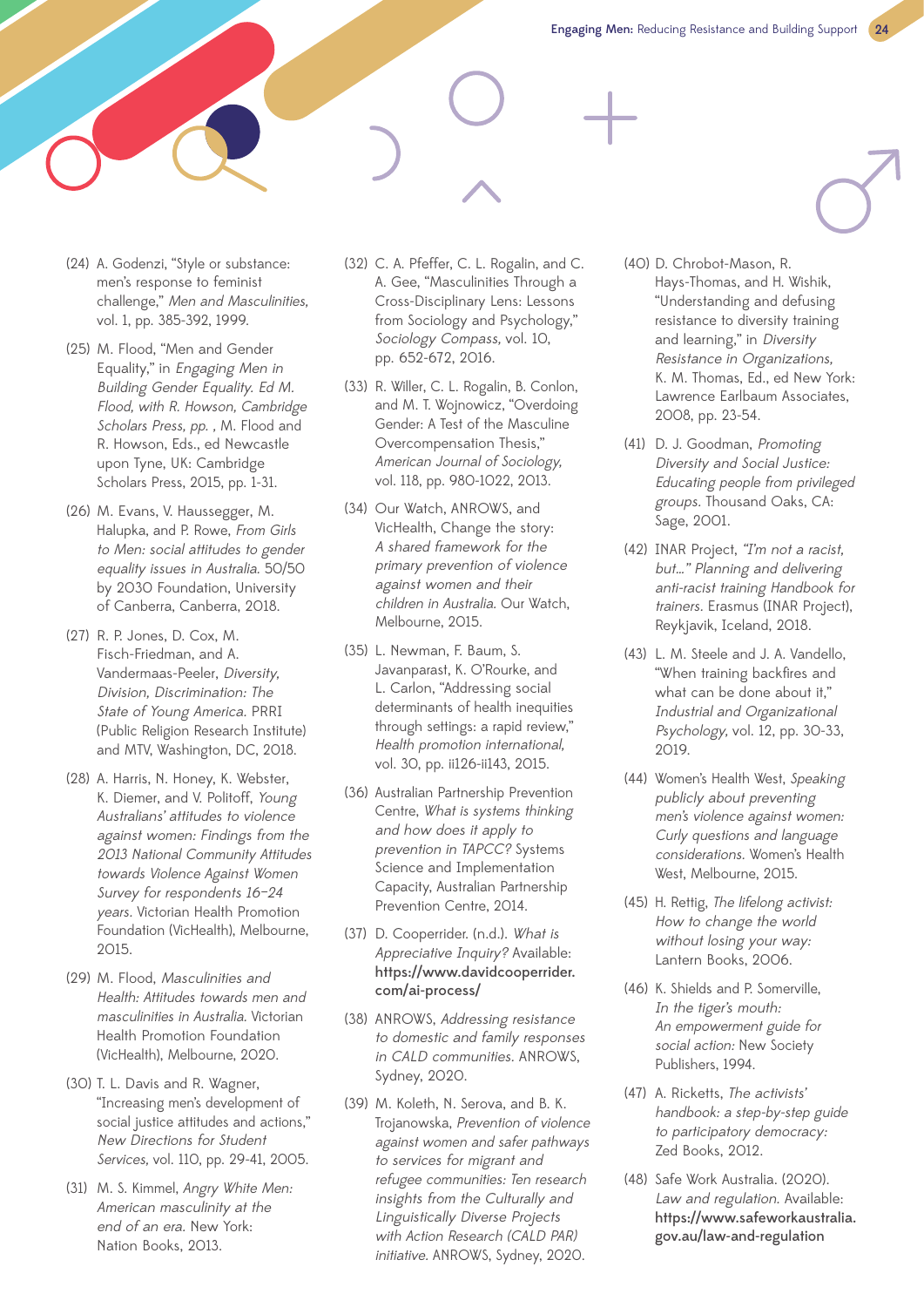- (24) A. Godenzi, "Style or substance: men's response to feminist challenge," Men and Masculinities, vol. 1, pp. 385-392, 1999.
- (25) M. Flood, "Men and Gender Equality," in Engaging Men in Building Gender Equality. Ed M. Flood, with R. Howson, Cambridge Scholars Press, pp., M. Flood and R. Howson, Eds., ed Newcastle upon Tyne, UK: Cambridge Scholars Press, 2015, pp. 1-31.
- (26) M. Evans, V. Haussegger, M. Halupka, and P. Rowe, From Girls to Men: social attitudes to gender equality issues in Australia. 50/50 by 2030 Foundation, University of Canberra, Canberra, 2018.
- (27) R. P. Jones, D. Cox, M. Fisch-Friedman, and A. Vandermaas-Peeler, Diversity, Division, Discrimination: The State of Young America. PRRI (Public Religion Research Institute) and MTV, Washington, DC, 2018.
- (28) A. Harris, N. Honey, K. Webster, K. Diemer, and V. Politoff, Young Australians' attitudes to violence against women: Findings from the 2013 National Community Attitudes towards Violence Against Women Survey for respondents 16–24 years. Victorian Health Promotion Foundation (VicHealth), Melbourne, 2015.
- (29) M. Flood, Masculinities and Health: Attitudes towards men and masculinities in Australia. Victorian Health Promotion Foundation (VicHealth), Melbourne, 2020.
- (30) T. L. Davis and R. Wagner, "Increasing men's development of social justice attitudes and actions," New Directions for Student Services, vol. 110, pp. 29-41, 2005.
- (31) M. S. Kimmel, Angry White Men: American masculinity at the end of an era. New York: Nation Books, 2013.
- (32) C. A. Pfeffer, C. L. Rogalin, and C. A. Gee, "Masculinities Through a Cross-Disciplinary Lens: Lessons from Sociology and Psychology," Sociology Compass, vol. 10, pp. 652-672, 2016.
- (33) R. Willer, C. L. Rogalin, B. Conlon, and M. T. Wojnowicz, "Overdoing Gender: A Test of the Masculine Overcompensation Thesis," American Journal of Sociology, vol. 118, pp. 980-1022, 2013.
- (34) Our Watch, ANROWS, and VicHealth, Change the story: A shared framework for the primary prevention of violence against women and their children in Australia. Our Watch, Melbourne, 2015.
- (35) L. Newman, F. Baum, S. Javanparast, K. O'Rourke, and L. Carlon, "Addressing social determinants of health inequities through settings: a rapid review," Health promotion international, vol. 30, pp. ii126-ii143, 2015.
- (36) Australian Partnership Prevention Centre, What is systems thinking and how does it apply to prevention in TAPCC? Systems Science and Implementation Capacity, Australian Partnership Prevention Centre, 2014.
- (37) D. Cooperrider. (n.d.). What is Appreciative Inquiry? Available: https://www.davidcooperrider. com/ai-process/
- (38) ANROWS, Addressing resistance to domestic and family responses in CALD communities. ANROWS, Sydney, 2020.
- (39) M. Koleth, N. Serova, and B. K. Trojanowska, Prevention of violence against women and safer pathways to services for migrant and refugee communities: Ten research insights from the Culturally and Linguistically Diverse Projects with Action Research (CALD PAR) initiative. ANROWS, Sydney, 2020.
- (40) D. Chrobot-Mason, R. Hays-Thomas, and H. Wishik, "Understanding and defusing resistance to diversity training and learning," in Diversity Resistance in Organizations, K. M. Thomas, Ed., ed New York: Lawrence Earlbaum Associates, 2008, pp. 23-54.
- (41) D. J. Goodman, Promoting Diversity and Social Justice: Educating people from privileged groups. Thousand Oaks, CA: Sage, 2001.
- (42) INAR Project, "I'm not a racist, but…" Planning and delivering anti-racist training Handbook for trainers. Erasmus (INAR Project), Reykjavik, Iceland, 2018.
- (43) L. M. Steele and J. A. Vandello, "When training backfires and what can be done about it," Industrial and Organizational Psychology, vol. 12, pp. 30-33, 2019.
- (44) Women's Health West, Speaking publicly about preventing men's violence against women: Curly questions and language considerations. Women's Health West, Melbourne, 2015.
- (45) H. Rettig, The lifelong activist: How to change the world without losing your way: Lantern Books, 2006.
- (46) K. Shields and P. Somerville, In the tiger's mouth: An empowerment guide for social action: New Society Publishers, 1994.
- (47) A. Ricketts, The activists' handbook: a step-by-step guide to participatory democracy: Zed Books, 2012.
- (48) Safe Work Australia. (2020). Law and regulation. Available: https://www.safeworkaustralia. gov.au/law-and-regulation